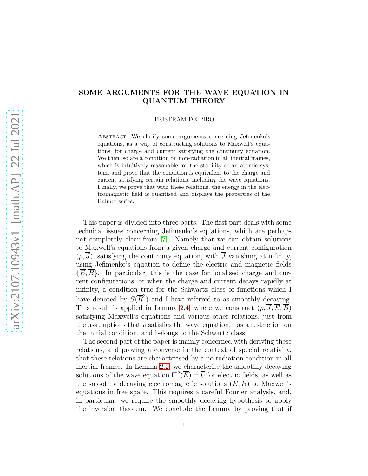# SOME ARGUMENTS FOR THE WAVE EQUATION IN QUANTUM THEORY

TRISTRAM DE PIRO

Abstract. We clarify some arguments concerning Jefimenko's equations, as a way of constructing solutions to Maxwell's equations, for charge and current satisfying the continuity equation. We then isolate a condition on non-radiation in all inertial frames, which is intuitively reasonable for the stability of an atomic system, and prove that the condition is equivalent to the charge and current satisfying certain relations, including the wave equations. Finally, we prove that with these relations, the energy in the electromagnetic field is quantised and displays the properties of the Balmer series.

This paper is divided into three parts. The first part deals with some technical issues concerning Jefimenko's equations, which are perhaps not completely clear from [\[7\]](#page-37-0). Namely that we can obtain solutions to Maxwell's equations from a given charge and current configuration  $(\rho, \overline{J})$ , satisfying the continuity equation, with  $\overline{J}$  vanishing at infinity, using Jefimenko's equation to define the electric and magnetic fields  ${E, B}$ . In particular, this is the case for localised charge and current configurations, or when the charge and current decays rapidly at infinity, a condition true for the Schwartz class of functions which I have denoted by  $S(\overline{R}^3)$  and I have referred to as smoothly decaying. This result is applied in Lemma [2.4,](#page-14-0) where we construct  $(\rho, \overline{J}, \overline{E}, \overline{B})$ satisfying Maxwell's equations and various other relations, just from the assumptions that  $\rho$  satisfies the wave equation, has a restriction on the initial condition, and belongs to the Schwartz class.

The second part of the paper is mainly concerned with deriving these relations, and proving a converse in the context of special relativity, that these relations are characterised by a no radiation condition in all inertial frames. In Lemma [2.2,](#page-8-0) we characterise the smoothly decaying solutions of the wave equation  $\Box^2(\overline{E}) = \overline{0}$  for electric fields, as well as the smoothly decaying electromagnetic solutions  $(\overline{E}, \overline{B})$  to Maxwell's equations in free space. This requires a careful Fourier analysis, and, in particular, we require the smoothly decaying hypothesis to apply the inversion theorem. We conclude the Lemma by proving that if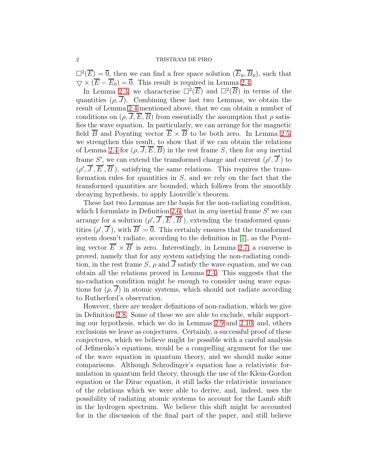$\Box^2(\overline{E}) = \overline{0}$ , then we can find a free space solution  $(\overline{E}_0, \overline{B}_0)$ , such that  $\overline{\nabla} \times (\overline{E} - \overline{E}_0) = \overline{0}$ . This result is required in Lemma [2.4.](#page-14-0)

In Lemma [2.3,](#page-13-0) we characterise  $\Box^2(\overline{E})$  and  $\Box^2(\overline{B})$  in terms of the quantities  $(\rho, \overline{J})$ . Combining these last two Lemmas, we obtain the result of Lemma [2.4](#page-14-0) mentioned above, that we can obtain a number of conditions on  $(\rho, \overline{J}, \overline{E}, \overline{B})$  from essentially the assumption that  $\rho$  satisfies the wave equation. In particularly, we can arrange for the magnetic field B and Poynting vector  $E \times B$  to be both zero. In Lemma [2.5,](#page-16-0) we strengthen this result, to show that if we can obtain the relations of Lemma [2.4](#page-14-0) for  $(\rho, J, E, B)$  in the rest frame S, then for any inertial frame S', we can extend the transformed charge and current  $(\rho', \overline{J}')$  to  $(\rho', \overline{J}', \overline{E}', \overline{B}')$ , satisfying the same relations. This requires the transformation rules for quantities in  $S$ , and we rely on the fact that the transformed quantities are bounded, which follows from the smoothly decaying hypothesis, to apply Liouville's theorem.

These last two Lemmas are the basis for the non-radiating condition, which I formulate in Definition [2.6,](#page-18-0) that in *any* inertial frame  $S'$  we can arrange for a solution  $(\rho', \overline{J}', \overline{E}', \overline{B}')$ , extending the transformed quantities  $(\rho', \overline{J}')$ , with  $\overline{B}' = \overline{0}$ . This certainly ensures that the transformed system doesn't radiate, according to the definition in [\[7\]](#page-37-0), as the Poynting vector  $\overline{E}' \times \overline{B}'$  is zero. Interestingly, in Lemma [2.7,](#page-19-0) a converse is proved, namely that for any system satisfying the non-radiating condition, in the rest frame S,  $\rho$  and  $\overline{J}$  satisfy the wave equation, and we can obtain all the relations proved in Lemma [2.4.](#page-14-0) This suggests that the no-radiation condition might be enough to consider using wave equations for  $(\rho, \overline{J})$  in atomic systems, which should not radiate according to Rutherford's observation.

However, there are weaker definitions of non-radiation, which we give in Definition [2.8.](#page-21-0) Some of these we are able to exclude, while supporting our hypothesis, which we do in Lemmas [2.9](#page-21-1) and [2.10,](#page-22-0) and, others exclusions we leave as conjectures. Certainly, a successful proof of these conjectures, which we believe might be possible with a careful analysis of Jefimenko's equations, would be a compelling argument for the use of the wave equation in quantum theory, and we should make some comparisons. Although Schrodinger's equation has a relativistic formulation in quantum field theory, through the use of the Klein-Gordon equation or the Dirac equation, it still lacks the relativistic invariance of the relations which we were able to derive, and, indeed, uses the possibility of radiating atomic systems to account for the Lamb shift in the hydrogen spectrum. We believe this shift might be accounted for in the discussion of the final part of the paper, and still believe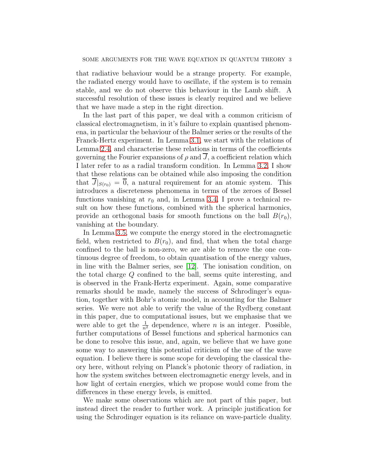that radiative behaviour would be a strange property. For example, the radiated energy would have to oscillate, if the system is to remain stable, and we do not observe this behaviour in the Lamb shift. A successful resolution of these issues is clearly required and we believe that we have made a step in the right direction.

In the last part of this paper, we deal with a common criticism of classical electromagnetism, in it's failure to explain quantised phenomena, in particular the behaviour of the Balmer series or the results of the Franck-Hertz experiment. In Lemma [3.1,](#page-23-0) we start with the relations of Lemma [2.4,](#page-14-0) and characterise these relations in terms of the coefficients governing the Fourier expansions of  $\rho$  and  $\overline{J}$ , a coefficient relation which I later refer to as a radial transform condition. In Lemma [3.2,](#page-26-0) I show that these relations can be obtained while also imposing the condition that  $\overline{J}|_{S(r_0)} = \overline{0}$ , a natural requirement for an atomic system. This introduces a discreteness phenomena in terms of the zeroes of Bessel functions vanishing at  $r_0$  and, in Lemma [3.4,](#page-30-0) I prove a technical result on how these functions, combined with the spherical harmonics, provide an orthogonal basis for smooth functions on the ball  $B(r_0)$ , vanishing at the boundary.

In Lemma [3.5,](#page-32-0) we compute the energy stored in the electromagnetic field, when restricted to  $B(r_0)$ , and find, that when the total charge confined to the ball is non-zero, we are able to remove the one continuous degree of freedom, to obtain quantisation of the energy values, in line with the Balmer series, see [\[12\]](#page-37-1). The ionisation condition, on the total charge Q confined to the ball, seems quite interesting, and is observed in the Frank-Hertz experiment. Again, some comparative remarks should be made, namely the success of Schrodinger's equation, together with Bohr's atomic model, in accounting for the Balmer series. We were not able to verify the value of the Rydberg constant in this paper, due to computational issues, but we emphasise that we were able to get the  $\frac{1}{n^2}$  dependence, where *n* is an integer. Possible, further computations of Bessel functions and spherical harmonics can be done to resolve this issue, and, again, we believe that we have gone some way to answering this potential criticism of the use of the wave equation. I believe there is some scope for developing the classical theory here, without relying on Planck's photonic theory of radiation, in how the system switches between electromagnetic energy levels, and in how light of certain energies, which we propose would come from the differences in these energy levels, is emitted.

We make some observations which are not part of this paper, but instead direct the reader to further work. A principle justification for using the Schrodinger equation is its reliance on wave-particle duality.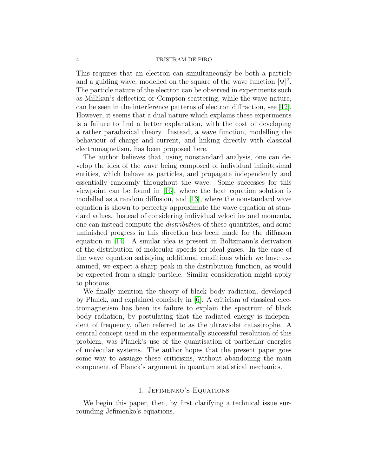This requires that an electron can simultaneously be both a particle and a guiding wave, modelled on the square of the wave function  $|\Psi|^2$ . The particle nature of the electron can be observed in experiments such as Millikan's deflection or Compton scattering, while the wave nature, can be seen in the interference patterns of electron diffraction, see [\[12\]](#page-37-1). However, it seems that a dual nature which explains these experiments is a failure to find a better explanation, with the cost of developing a rather paradoxical theory. Instead, a wave function, modelling the behaviour of charge and current, and linking directly with classical electromagnetism, has been proposed here.

The author believes that, using nonstandard analysis, one can develop the idea of the wave being composed of individual infinitesimal entities, which behave as particles, and propagate independently and essentially randomly throughout the wave. Some successes for this viewpoint can be found in [\[16\]](#page-38-0), where the heat equation solution is modelled as a random diffusion, and [\[13\]](#page-37-2), where the nonstandard wave equation is shown to perfectly approximate the wave equation at standard values. Instead of considering individual velocities and momenta, one can instead compute the distribution of these quantities, and some unfinished progress in this direction has been made for the diffusion equation in [\[14\]](#page-37-3). A similar idea is present in Boltzmann's derivation of the distribution of molecular speeds for ideal gases. In the case of the wave equation satisfying additional conditions which we have examined, we expect a sharp peak in the distribution function, as would be expected from a single particle. Similar consideration might apply to photons.

We finally mention the theory of black body radiation, developed by Planck, and explained concisely in [\[6\]](#page-37-4). A criticism of classical electromagnetism has been its failure to explain the spectrum of black body radiation, by postulating that the radiated energy is independent of frequency, often referred to as the ultraviolet catastrophe. A central concept used in the experimentally successful resolution of this problem, was Planck's use of the quantisation of particular energies of molecular systems. The author hopes that the present paper goes some way to assuage these criticisms, without abandoning the main component of Planck's argument in quantum statistical mechanics.

# 1. Jefimenko's Equations

We begin this paper, then, by first clarifying a technical issue surrounding Jefimenko's equations.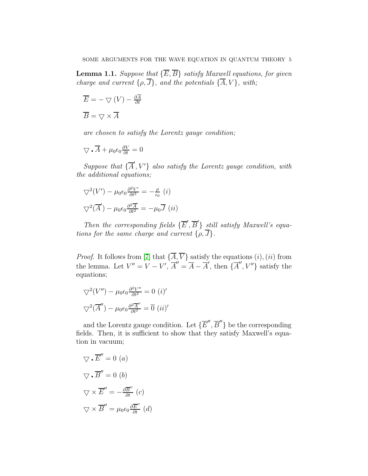<span id="page-4-0"></span>**Lemma 1.1.** Suppose that  $\{\overline{E}, \overline{B}\}\$  satisfy Maxwell equations, for given charge and current  $\{\rho, \overline{J}\}\$ , and the potentials  $\{\overline{A}, V\}$ , with;

$$
\overline{E} = -\bigtriangledown (V) -
$$

$$
\overline{B} = \bigtriangledown \times \overline{A}
$$

are chosen to satisfy the Lorentz gauge condition;

$$
\nabla \cdot \overline{A} + \mu_0 \epsilon_0 \frac{\partial V}{\partial t} = 0
$$

Suppose that  $\{\overline{A}', V'\}$  also satisfy the Lorentz gauge condition, with the additional equations;

$$
\nabla^2 (V') - \mu_0 \epsilon_0 \frac{\partial^2 V'}{\partial t^2} = -\frac{\rho}{\epsilon_0} (i)
$$
  

$$
\nabla^2 (\overline{A}') - \mu_0 \epsilon_0 \frac{\partial^2 \overline{A}'}{\partial t^2} = -\mu_0 \overline{J} (ii)
$$

∂A ∂t

Then the corresponding fields  $\{\overline{E}', \overline{B}'\}$  still satisfy Maxwell's equations for the same charge and current  $\{\rho, \overline{J}\}.$ 

*Proof.* It follows from [\[7\]](#page-37-0) that  $\{A, V\}$  satisfy the equations  $(i)$ ,  $(ii)$  from the lemma. Let  $V'' = V - V'$ ,  $\overline{A}'' = \overline{A} - \overline{A}'$ , then  $\{\overline{A}''$ ,  $V''\}$  satisfy the equations;

$$
\nabla^2 (V'') - \mu_0 \epsilon_0 \frac{\partial^2 V''}{\partial t^2} = 0 \ (i)'
$$

$$
\nabla^2 (\overline{A}'') - \mu_0 \epsilon_0 \frac{\partial^2 \overline{A}''}{\partial t^2} = \overline{0} \ (ii)'
$$

and the Lorentz gauge condition. Let  $\{\overline{E}'', \overline{B}''\}$  be the corresponding fields. Then, it is sufficient to show that they satisfy Maxwell's equation in vacuum;

$$
\nabla \cdot \overline{E}'' = 0
$$
 (a)  

$$
\nabla \cdot \overline{B}'' = 0
$$
 (b)  

$$
\nabla \times \overline{E}'' = -\frac{\partial \overline{B}''}{\partial t} \quad (c)
$$
  

$$
\nabla \times \overline{B}'' = \mu_0 \epsilon_0 \frac{\partial \overline{E}''}{\partial t} \quad (d)
$$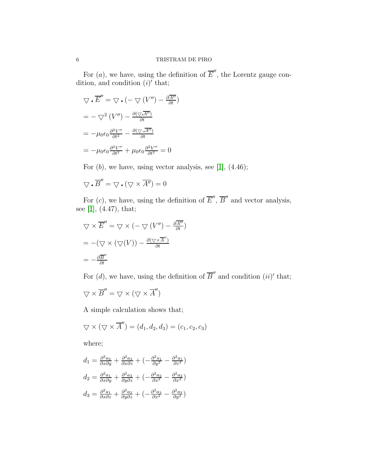For  $(a)$ , we have, using the definition of  $\overline{E}''$ , the Lorentz gauge condition, and condition  $(i)'$  that;

$$
\nabla \cdot \overline{E}'' = \nabla \cdot (-\nabla (V'') - \frac{\partial \overline{A''}}{\partial t})
$$

$$
= -\nabla^2 (V'') - \frac{\partial (\nabla \cdot \overline{A''})}{\partial t}
$$

$$
= -\mu_0 \epsilon_0 \frac{\partial^2 V''}{\partial t^2} - \frac{\partial (\nabla \cdot \overline{A''})}{\partial t}
$$

$$
= -\mu_0 \epsilon_0 \frac{\partial^2 V''}{\partial t^2} + \mu_0 \epsilon_0 \frac{\partial^2 V''}{\partial t^2} = 0
$$

For  $(b)$ , we have, using vector analysis, see [\[1\]](#page-37-5),  $(4.46)$ ;

$$
\nabla \cdot \overline{B}'' = \nabla \cdot (\nabla \times \overline{A''}) = 0
$$

For  $(c)$ , we have, using the definition of  $\overline{E}'$ ,  $\overline{B}''$  and vector analysis, see [\[1\]](#page-37-5), (4.47), that;

$$
\nabla \times \overline{E}'' = \nabla \times (-\nabla (V'') - \frac{\partial \overline{A''}}{\partial t})
$$

$$
= -(\nabla \times (\nabla (V)) - \frac{\partial (\nabla \times \overline{A''})}{\partial t})
$$

$$
= -\frac{\partial \overline{B''}}{\partial t}
$$

For  $(d)$ , we have, using the definition of  $\overline{B}^{\prime\prime}$  and condition  $(ii)^{\prime}$  that;

$$
\nabla \times \overline{B}'' = \nabla \times (\nabla \times \overline{A}'')
$$

A simple calculation shows that;

$$
\bigtriangledown \times (\bigtriangledown \times \overline{A}'') = (d_1, d_2, d_3) = (c_1, c_2, c_3)
$$

where;

$$
d_1 = \frac{\partial^2 a_2}{\partial x \partial y} + \frac{\partial^2 a_3}{\partial x \partial z} + \left(-\frac{\partial^2 a_1}{\partial y^2} - \frac{\partial^2 a_1}{\partial z^2}\right)
$$
  
\n
$$
d_2 = \frac{\partial^2 a_1}{\partial x \partial y} + \frac{\partial^2 a_3}{\partial y \partial z} + \left(-\frac{\partial^2 a_2}{\partial x^2} - \frac{\partial^2 a_2}{\partial x^2}\right)
$$
  
\n
$$
d_3 = \frac{\partial^2 a_1}{\partial x \partial z} + \frac{\partial^2 a_2}{\partial y \partial z} + \left(-\frac{\partial^2 a_3}{\partial x^2} - \frac{\partial^2 a_3}{\partial y^2}\right)
$$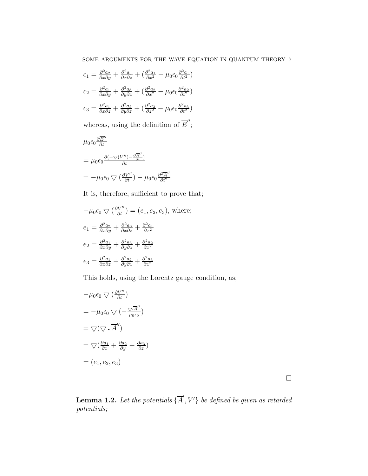$$
c_1 = \frac{\partial^2 a_2}{\partial x \partial y} + \frac{\partial^2 a_3}{\partial x \partial z} + \left(\frac{\partial^2 a_1}{\partial x^2} - \mu_0 \epsilon_0 \frac{\partial^2 a_1}{\partial t^2}\right)
$$
  
\n
$$
c_2 = \frac{\partial^2 a_1}{\partial x \partial y} + \frac{\partial^2 a_3}{\partial y \partial z} + \left(\frac{\partial^2 a_2}{\partial x^2} - \mu_0 \epsilon_0 \frac{\partial^2 a_2}{\partial t^2}\right)
$$
  
\n
$$
c_3 = \frac{\partial^2 a_1}{\partial x \partial z} + \frac{\partial^2 a_2}{\partial y \partial z} + \left(\frac{\partial^2 a_3}{\partial z^2} - \mu_0 \epsilon_0 \frac{\partial^2 a_3}{\partial t^2}\right)
$$

whereas, using the definition of  $\overline{E}''$ ;

$$
\mu_0 \epsilon_0 \frac{\partial \overline{E}''}{\partial t}
$$
\n
$$
= \mu_0 \epsilon_0 \frac{\partial (-\nabla (V'') - \frac{\partial \overline{A}''}{\partial t})}{\partial t}
$$
\n
$$
= -\mu_0 \epsilon_0 \nabla \left(\frac{\partial V''}{\partial t}\right) - \mu_0 \epsilon_0 \frac{\partial^2 \overline{A}''}{\partial t^2}
$$

It is, therefore, sufficient to prove that;

$$
-\mu_0 \epsilon_0 \nabla \left(\frac{\partial V''}{\partial t}\right) = (e_1, e_2, e_3), \text{ where;}
$$
  
\n
$$
e_1 = \frac{\partial^2 a_2}{\partial x \partial y} + \frac{\partial^2 a_3}{\partial x \partial z} + \frac{\partial^2 a_1}{\partial x^2}
$$
  
\n
$$
e_2 = \frac{\partial^2 a_1}{\partial x \partial y} + \frac{\partial^2 a_3}{\partial y \partial z} + \frac{\partial^2 a_2}{\partial x^2}
$$
  
\n
$$
e_3 = \frac{\partial^2 a_1}{\partial x \partial z} + \frac{\partial^2 a_2}{\partial y \partial z} + \frac{\partial^2 a_3}{\partial z^2}
$$

This holds, using the Lorentz gauge condition, as;

$$
-\mu_0 \epsilon_0 \nabla \left(\frac{\partial V''}{\partial t}\right)
$$
  
=  $-\mu_0 \epsilon_0 \nabla \left(-\frac{\nabla \cdot \overline{A''}}{\mu_0 \epsilon_0}\right)$   
=  $\nabla (\nabla \cdot \overline{A''})$   
=  $\nabla \left(\frac{\partial a_1}{\partial x} + \frac{\partial a_2}{\partial y} + \frac{\partial a_3}{\partial z}\right)$   
=  $(e_1, e_2, e_3)$ 

 $\Box$ 

<span id="page-6-0"></span>**Lemma 1.2.** Let the potentials  $\{\overline{A}', V'\}$  be defined be given as retarded potentials;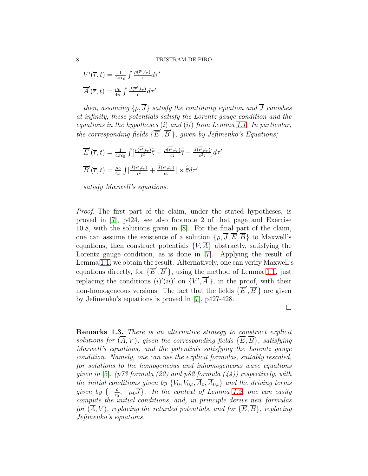$$
V'(\overline{r}, t) = \frac{1}{4\pi\epsilon_0} \int \frac{\rho(\overline{r}', t_r)}{\mathfrak{r}} d\tau'
$$

$$
\overline{A}'(\overline{r}, t) = \frac{\mu_0}{4\pi} \int \frac{\overline{J}(\overline{r}', t_r)}{\mathfrak{r}} d\tau'
$$

then, assuming  $\{\rho, \overline{J}\}\$  satisfy the continuity equation and  $\overline{J}$  vanishes at infinity, these potentials satisfy the Lorentz gauge condition and the equations in the hypotheses  $(i)$  and  $(ii)$  from Lemma [1.1.](#page-4-0) In particular, the corresponding fields  $\{\overline{E}', \overline{B}'\}$ , given by Jefimenko's Equations;

$$
\overline{E}'(\overline{r},t) = \frac{1}{4\pi\epsilon_0} \int \left[\frac{\rho(\overline{r'},t_r)}{\tau^2} \hat{\overline{\tau}} + \frac{\rho(\overline{r'},t_r)}{c\tau} \hat{\overline{\tau}} - \frac{\overline{J}(\overline{r'},t_r)}{c^2\tau}\right] d\tau'
$$
\n
$$
\overline{B}'(\overline{r},t) = \frac{\mu_0}{4\pi} \int \left[\frac{\overline{J}(\overline{r'},t_r)}{\tau^2} + \frac{\overline{J}(\overline{r'},t_r)}{c\tau}\right] \times \hat{\overline{\tau}} d\tau'
$$

satisfy Maxwell's equations.

Proof. The first part of the claim, under the stated hypotheses, is proved in [\[7\]](#page-37-0), p424, see also footnote 2 of that page and Exercise 10.8, with the solutions given in [\[8\]](#page-37-6). For the final part of the claim, one can assume the existence of a solution  $\{\rho, \overline{J}, \overline{E}, \overline{B}\}\$ to Maxwell's equations, then construct potentials  $\{V, \overline{A}\}\$ abstractly, satisfying the Lorentz gauge condition, as is done in [\[7\]](#page-37-0). Applying the result of Lemma [1.1,](#page-4-0) we obtain the result. Alternatively, one can verify Maxwell's equations directly, for  $\{\overline{E}', \overline{B}'\}$ , using the method of Lemma [1.1,](#page-4-0) just replacing the conditions  $(i)'(ii)'$  on  $\{V', \overline{A}'\}$ , in the proof, with their non-homogeneous versions. The fact that the fields  $\{\overline{E}', \overline{B}'\}$  are given by Jefimenko's equations is proved in [\[7\]](#page-37-0), p427-428.

 $\Box$ 

Remarks 1.3. There is an alternative strategy to construct explicit solutions for  $(\overline{A}, V)$ , given the corresponding fields  $\{\overline{E}, \overline{B}\}\$ , satisfying Maxwell's equations, and the potentials satisfying the Lorentz gauge condition. Namely, one can use the explicit formulas, suitably rescaled, for solutions to the homogeneous and inhomogeneous wave equations given in  $[5]$ , (p73 formula (22) and p82 formula (44)) respectively, with the initial conditions given by  $\{V_0, V_{0,t}, \overline{A}_0, \overline{A}_{0,t}\}\$  and the driving terms given by  $\{-\frac{\rho}{\epsilon_0}, -\mu_0 \overline{J}\}$ . In the context of Lemma [1.2,](#page-6-0) one can easily compute the initial conditions, and, in principle derive new formulas for  $(\overline{A}, V)$ , replacing the retarded potentials, and for  $\{\overline{E}, \overline{B}\}\$ , replacing Jefimenko's equations.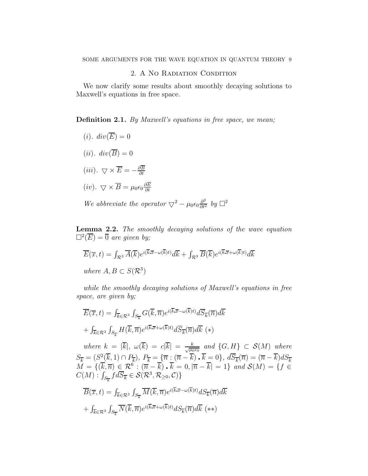# 2. A No Radiation Condition

We now clarify some results about smoothly decaying solutions to Maxwell's equations in free space.

<span id="page-8-1"></span>**Definition 2.1.** By Maxwell's equations in free space, we mean;

 $(i)$ .  $div(\overline{E}) = 0$  $(ii).$   $div(\overline{B})=0$ (iii).  $\bigtriangledown \times \overline{E} = -\frac{\partial \overline{B}}{\partial t}$ ∂t  $(iv)$ .  $\bigtriangledown \times \overline{B} = \mu_0 \epsilon_0 \frac{\partial E}{\partial t}$ ∂t

We abbreviate the operator  $\bigtriangledown^2 - \mu_0 \epsilon_0 \frac{\partial^2}{\partial t^2}$  by  $\Box^2$ 

<span id="page-8-0"></span>Lemma 2.2. The smoothly decaying solutions of the wave equation  $\square^2(\overline{E}) = \overline{0}$  are given by;

$$
\overline{E}(\overline{x},t) = \int_{\mathcal{R}^3} \overline{A}(\overline{k}) e^{i(\overline{k}.\overline{x} - \omega(\overline{k})t)} d\overline{k} + \int_{\mathcal{R}^3} \overline{B}(\overline{k}) e^{i(\overline{k}.\overline{x} + \omega(\overline{k})t)} d\overline{k}
$$
  
where  $A, B \subset S(\mathcal{R}^3)$ 

while the smoothly decaying solutions of Maxwell's equations in free space, are given by;

$$
\overline{E}(\overline{x},t) = \int_{\overline{k}\in\mathcal{R}^3} \int_{S_{\overline{k}}} G(\overline{k},\overline{n}) e^{i(\overline{k}.\overline{x}-\omega(\overline{k})t)} d\overline{S}_{\overline{k}}(\overline{n}) d\overline{k} \n+ \int_{\overline{k}\in\mathcal{R}^3} \int_{S_{\overline{k}}} H(\overline{k},\overline{n}) e^{i(\overline{k}.\overline{x}+\omega(\overline{k})t)} d\overline{S}_{\overline{k}}(\overline{n}) d\overline{k} (*)
$$

where  $k = |\overline{k}|, \ \omega(\overline{k}) = c|\overline{k}| = \frac{k}{\sqrt{\mu_0 \epsilon_0}}$  and  $\{G, H\} \subset \mathcal{S}(M)$  where  $S_{\overline{k}} = (S_{\overline{k}}^2(\overline{k}, 1) \cap P_{\overline{k}}), P_{\overline{k}} = (\overline{n} \times (\overline{n} - \overline{k}), \overline{k} = 0), d\overline{S}_{\overline{k}}(\overline{n}) = (\overline{n} - \overline{k})dS_{\overline{k}}$  $\overline{M} = \{(\overline{k}, \overline{n}) \in \mathcal{R}^6 : (\overline{n} - \overline{k}) \cdot \overline{k} = 0, |\overline{n} - \overline{k}| = 1\}$  and  $\mathcal{S}(M) = \{f \in$  $C(M): \int_{S_{\overline{k}}} f d\overline{S}_{\overline{k}} \in \mathcal{S}(\mathcal{R}^3, \mathcal{R}_{\geq 0}, \mathcal{C})\}$ 

$$
\overline{B}(\overline{x},t) = \int_{\overline{k}\in\mathcal{R}^3} \int_{S_{\overline{k}}} \overline{M}(\overline{k},\overline{n}) e^{i(\overline{k}.\overline{x}-\omega(\overline{k})t)} dS_{\overline{k}}(\overline{n}) d\overline{k} \n+ \int_{\overline{k}\in\mathcal{R}^3} \int_{S_{\overline{k}}} \overline{N}(\overline{k},\overline{n}) e^{i(\overline{k}.\overline{x}+\omega(\overline{k})t)} dS_{\overline{k}}(\overline{n}) d\overline{k} \quad (**)
$$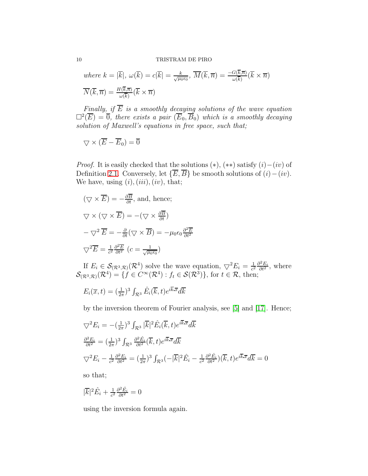where 
$$
k = |\overline{k}|
$$
,  $\omega(\overline{k}) = c|\overline{k}| = \frac{k}{\sqrt{\mu_0 \epsilon_0}}$ ,  $\overline{M}(\overline{k}, \overline{n}) = \frac{-G(\overline{k}, \overline{n})}{\omega(\overline{k})} (\overline{k} \times \overline{n})$   
 $\overline{N}(\overline{k}, \overline{n}) = \frac{H(\overline{k}, \overline{n})}{\omega(\overline{k})} (\overline{k} \times \overline{n})$ 

Finally, if E is a smoothly decaying solutions of the wave equation  $\Box^2(\overline{E}) = \overline{0}$ , there exists a pair  $(\overline{E}_0, \overline{B}_0)$  which is a smoothly decaying solution of Maxwell's equations in free space, such that;

$$
\nabla \times (\overline{E} - \overline{E}_0) = 0
$$

*Proof.* It is easily checked that the solutions  $(*), (**)$  satisfy  $(i)–(iv)$  of Definition [2.1.](#page-8-1) Conversely, let  $\{\overline{E}, \overline{B}\}\$ be smooth solutions of  $(i) - (iv)$ . We have, using  $(i)$ ,  $(iii)$ ,  $(iv)$ , that;

$$
(\nabla \times \overline{E}) = -\frac{\partial \overline{B}}{\partial t}, \text{ and, hence;}
$$

$$
\nabla \times (\nabla \times \overline{E}) = -(\nabla \times \frac{\partial \overline{B}}{\partial t})
$$

$$
-\nabla^2 \overline{E} = -\frac{\partial}{\partial t} (\nabla \times \overline{B}) = -\mu_0 \epsilon_0 \frac{\partial^2 \overline{E}}{\partial t^2}
$$

$$
\nabla^2 \overline{E} = \frac{1}{c^2} \frac{\partial^2 \overline{E}}{\partial t^2} \ (c = \frac{1}{\sqrt{\mu_0 \epsilon_0}})
$$

If  $E_i \in \mathcal{S}_{(\mathcal{R}^3,\mathcal{R})}(\mathcal{R}^4)$  solve the wave equation,  $\bigtriangledown^2 E_i = \frac{1}{c^2}$  $\frac{1}{c^2} \frac{\partial^2 E_i}{\partial t^2}$ , where  $\mathcal{S}_{(\mathcal{R}^3,\mathcal{R})}(\mathcal{R}^4) = \{f \in C^{\infty}(\mathcal{R}^4) : f_t \in \mathcal{S}(\mathcal{R}^3)\},\text{ for }t \in \mathcal{R},\text{ then};$ 

$$
E_i(\overline{x}, t) = (\frac{1}{2\pi})^3 \int_{\mathcal{R}^3} \hat{E}_i(\overline{k}, t) e^{i\overline{k} \cdot \overline{x}} d\overline{k}
$$

by the inversion theorem of Fourier analysis, see [\[5\]](#page-37-7) and [\[17\]](#page-38-1). Hence;

$$
\nabla^2 E_i = -\left(\frac{1}{2\pi}\right)^3 \int_{\mathcal{R}^3} |\overline{k}|^2 \hat{E}_i(\overline{k}, t) e^{i\overline{k} \cdot \overline{x}} d\overline{k}
$$
  

$$
\frac{\partial^2 E_i}{\partial t^2} = \left(\frac{1}{2\pi}\right)^3 \int_{\mathcal{R}^3} \frac{\partial^2 \hat{E}_i}{\partial t^2} (\overline{k}, t) e^{i\overline{k} \cdot \overline{x}} d\overline{k}
$$
  

$$
\nabla^2 E_i - \frac{1}{c^2} \frac{\partial^2 E_i}{\partial t^2} = \left(\frac{1}{2\pi}\right)^3 \int_{\mathcal{R}^3} (-|\overline{k}|^2 \hat{E}_i - \frac{1}{c^2} \frac{\partial^2 \hat{E}_i}{\partial t^2}) (\overline{k}, t) e^{i\overline{k} \cdot \overline{x}} d\overline{k} = 0
$$

so that;

$$
|\overline{k}|^2 \hat{E}_i + \frac{1}{c^2} \frac{\partial^2 \hat{E}_i}{\partial t^2} = 0
$$

using the inversion formula again.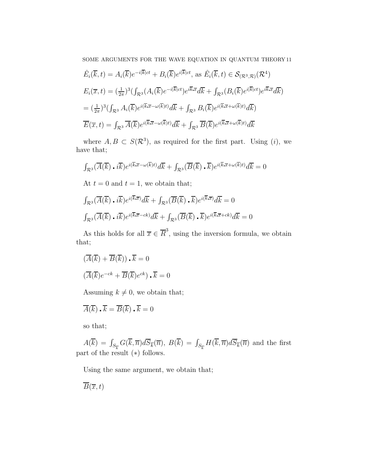SOME ARGUMENTS FOR THE WAVE EQUATION IN QUANTUM THEORY 11

$$
\hat{E}_{i}(\overline{k},t) = A_{i}(\overline{k})e^{-i|\overline{k}|ct} + B_{i}(\overline{k})e^{i|\overline{k}|ct}, \text{ as } \hat{E}_{i}(\overline{k},t) \in \mathcal{S}_{(\mathcal{R}^{3},\mathcal{R})}(\mathcal{R}^{4})
$$
\n
$$
E_{i}(\overline{x},t) = (\frac{1}{2\pi})^{3} \left( \int_{\mathcal{R}^{3}} (A_{i}(\overline{k})e^{-i|\overline{k}|ct})e^{i\overline{k}.\overline{x}}d\overline{k} + \int_{\mathcal{R}^{3}} (B_{i}(\overline{k})e^{i|\overline{k}|ct})e^{i\overline{k}.\overline{x}}d\overline{k} \right)
$$
\n
$$
= (\frac{1}{2\pi})^{3} \left( \int_{\mathcal{R}^{3}} A_{i}(\overline{k})e^{i(\overline{k}.\overline{x}-\omega(\overline{k})t)}d\overline{k} + \int_{\mathcal{R}^{3}} B_{i}(\overline{k})e^{i(\overline{k}.\overline{x}+\omega(\overline{k})t)}d\overline{k} \right)
$$
\n
$$
\overline{E}(\overline{x},t) = \int_{\mathcal{R}^{3}} \overline{A}(\overline{k})e^{i(\overline{k}.\overline{x}-\omega(\overline{k})t)}d\overline{k} + \int_{\mathcal{R}^{3}} \overline{B}(\overline{k})e^{i(\overline{k}.\overline{x}+\omega(\overline{k})t)}d\overline{k}
$$

where  $A, B \subset S(\mathcal{R}^3)$ , as required for the first part. Using (i), we have that;

$$
\int_{\mathcal{R}^3} (\overline{A}(\overline{k}) \cdot i\overline{k}) e^{i(\overline{k} \cdot \overline{x} - \omega(\overline{k})t)} d\overline{k} + \int_{\mathcal{R}^3} (\overline{B}(\overline{k}) \cdot \overline{k}) e^{i(\overline{k} \cdot \overline{x} + \omega(\overline{k})t)} d\overline{k} = 0
$$

At  $t = 0$  and  $t = 1$ , we obtain that;

$$
\int_{\mathcal{R}^3} (\overline{A}(\overline{k}) \cdot i\overline{k}) e^{i(\overline{k} \cdot \overline{x})} d\overline{k} + \int_{\mathcal{R}^3} (\overline{B}(\overline{k}) \cdot \overline{k}) e^{i(\overline{k} \cdot \overline{x})} d\overline{k} = 0
$$
  

$$
\int_{\mathcal{R}^3} (\overline{A}(\overline{k}) \cdot i\overline{k}) e^{i(\overline{k} \cdot \overline{x} - ck)} d\overline{k} + \int_{\mathcal{R}^3} (\overline{B}(\overline{k}) \cdot \overline{k}) e^{i(\overline{k} \cdot \overline{x} + ck)} d\overline{k} = 0
$$

As this holds for all  $\overline{x} \in \overline{R}^3$ , using the inversion formula, we obtain that;

$$
(\overline{A}(\overline{k}) + \overline{B}(\overline{k})) \cdot \overline{k} = 0
$$

$$
(\overline{A}(\overline{k})e^{-ck} + \overline{B}(\overline{k})e^{ck}) \cdot \overline{k} = 0
$$

Assuming  $k \neq 0$ , we obtain that;

$$
\overline{A}(\overline{k}) \cdot \overline{k} = \overline{B}(\overline{k}) \cdot \overline{k} = 0
$$

so that;

 $A(\overline{k}) = \int_{S_{\overline{k}}} G(\overline{k}, \overline{n}) d\overline{S}_{\overline{k}}(\overline{n}), B(\overline{k}) = \int_{S_{\overline{k}}} H(\overline{k}, \overline{n}) d\overline{S}_{\overline{k}}(\overline{n})$  and the first part of the result (∗) follows.

Using the same argument, we obtain that;

 $\overline{B}(\overline{x},t)$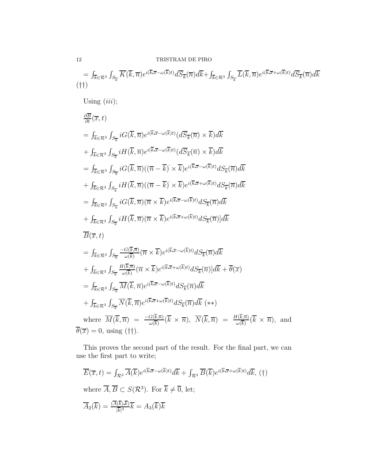$$
= \int_{\overline{k}\in\mathcal{R}^3} \int_{S_{\overline{k}}} \overline{K}(\overline{k},\overline{n}) e^{i(\overline{k}\overline{x}-\omega(\overline{k})t)} d\overline{S}_{\overline{k}}(\overline{n}) d\overline{k} + \int_{\overline{k}\in\mathcal{R}^3} \int_{S_{\overline{k}}} \overline{L}(\overline{k},\overline{n}) e^{i(\overline{k}\overline{x}+\omega(\overline{k})t)} d\overline{S}_{\overline{k}}(\overline{n}) d\overline{k}
$$
  
\n
$$
= \int_{\overline{k}\in\mathcal{R}^3} \int_{S_{\overline{k}}} iG(\overline{k},\overline{n}) e^{i(\overline{k}\overline{x}-\omega(\overline{k})t)} (d\overline{S}_{\overline{k}}(\overline{n}) \times \overline{k}) d\overline{k}
$$
  
\n
$$
+ \int_{\overline{k}\in\mathcal{R}^3} \int_{S_{\overline{k}}} iG(\overline{k},\overline{n}) e^{i(\overline{k}\overline{x}-\omega(\overline{k})t)} (d\overline{S}_{\overline{k}}(\overline{n}) \times \overline{k}) d\overline{k}
$$
  
\n
$$
= \int_{\overline{k}\in\mathcal{R}^3} \int_{S_{\overline{k}}} iH(\overline{k},\overline{n}) e^{i(\overline{k}\overline{x}-\omega(\overline{k})t)} (d\overline{S}_{\overline{k}}(\overline{n}) \times \overline{k}) d\overline{k}
$$
  
\n
$$
+ \int_{\overline{k}\in\mathcal{R}^3} \int_{S_{\overline{k}}} iG(\overline{k},\overline{n}) ((\overline{n}-\overline{k}) \times \overline{k}) e^{i(\overline{k}\overline{x}-\omega(\overline{k})t)} dS_{\overline{k}}(\overline{n}) d\overline{k}
$$
  
\n
$$
= \int_{\overline{k}\in\mathcal{R}^3} \int_{S_{\overline{k}}} iG(\overline{k},\overline{n}) (\overline{n} \times \overline{k}) e^{i(\overline{k}\overline{x}-\omega(\overline{k})t)} dS_{\overline{k}}(\overline{n}) d\overline{k}
$$
  
\n
$$
+ \int_{\overline{k}\in\mathcal{R}^3} \int_{S_{\overline{k}}} iH(\overline{k},\overline{n}) (\overline
$$

This proves the second part of the result. For the final part, we can use the first part to write;

$$
\overline{E}(\overline{x},t) = \int_{\mathcal{R}^3} \overline{A}(\overline{k}) e^{i(\overline{k}.\overline{x} - \omega(\overline{k})t)} d\overline{k} + \int_{\mathcal{R}^3} \overline{B}(\overline{k}) e^{i(\overline{k}.\overline{x} + \omega(\overline{k})t)} d\overline{k}, \text{ (†)}
$$
\nwhere  $\overline{A}, \overline{B} \subset S(\mathcal{R}^3)$ . For  $\overline{k} \neq \overline{0}$ , let;  
\n
$$
\overline{A}_2(\overline{k}) = \frac{(\overline{A}(\overline{k}).\overline{k})}{|\overline{k}|^2} \overline{k} = A_3(\overline{k}) \overline{k}
$$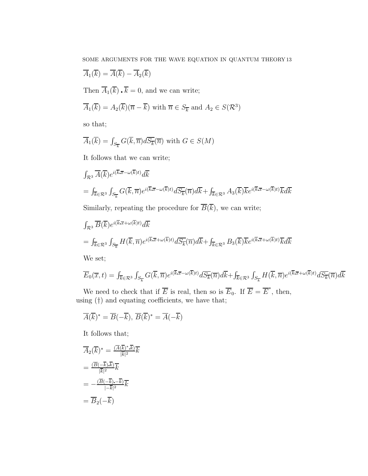SOME ARGUMENTS FOR THE WAVE EQUATION IN QUANTUM THEORY 13

$$
\overline{A}_1(\overline{k}) = \overline{A}(\overline{k}) - \overline{A}_2(\overline{k})
$$
  
Then  $\overline{A}_1(\overline{k}) \cdot \overline{k} = 0$ , and we can write;

$$
\overline{A}_1(\overline{k}) = A_2(\overline{k})(\overline{n} - \overline{k}) \text{ with } \overline{n} \in S_{\overline{k}} \text{ and } A_2 \in S(\mathcal{R}^3)
$$

so that;

$$
\overline{A}_1(\overline{k}) = \int_{S_{\overline{k}}} G(\overline{k}, \overline{n}) d\overline{S_{\overline{k}}}(\overline{n}) \text{ with } G \in S(M)
$$

It follows that we can write;

$$
\int_{\mathcal{R}^3} \overline{A}(\overline{k}) e^{i(\overline{k}.\overline{x} - \omega(\overline{k})t)} d\overline{k}
$$
  
=  $\int_{\overline{k} \in \mathcal{R}^3} \int_{S_{\overline{k}}} G(\overline{k}, \overline{n}) e^{i(\overline{k}.\overline{x} - \omega(\overline{k})t)} d\overline{S_{\overline{k}}}(\overline{n}) d\overline{k} + \int_{\overline{k} \in \mathcal{R}^3} A_3(\overline{k}) \overline{k} e^{i(\overline{k}.\overline{x} - \omega(\overline{k})t)} \overline{k} d\overline{k}$   
Similarly, repeating the procedure for  $\overline{B}(\overline{k})$ , we can write;

$$
\int_{\mathcal{R}^3} \overline{B}(\overline{k}) e^{i(\overline{k} \cdot \overline{x} + \omega(\overline{k})t)} d\overline{k}
$$
\n
$$
= \int_{\overline{k} \in \mathcal{R}^3} \int_{S_{\overline{k}}} H(\overline{k}, \overline{n}) e^{i(\overline{k} \cdot \overline{x} + \omega(\overline{k})t)} d\overline{S_{\overline{k}}}(\overline{n}) d\overline{k} + \int_{\overline{k} \in \mathcal{R}^3} B_3(\overline{k}) \overline{k} e^{i(\overline{k} \cdot \overline{x} + \omega(\overline{k})t)} \overline{k} d\overline{k}
$$

We set;

$$
\overline{E}_0(\overline{x},t) = \int_{\overline{k}\in\mathcal{R}^3} \int_{S_{\overline{k}}} G(\overline{k},\overline{n}) e^{i(\overline{k}.\overline{x}-\omega(\overline{k})t)} d\overline{S_{\overline{k}}}(\overline{n}) d\overline{k} + \int_{\overline{k}\in\mathcal{R}^3} \int_{S_{\overline{k}}} H(\overline{k},\overline{n}) e^{i(\overline{k}.\overline{x}+\omega(\overline{k})t)} d\overline{S_{\overline{k}}}(\overline{n}) d\overline{k}
$$

We need to check that if  $\overline{E}$  is real, then so is  $\overline{E}_0$ . If  $\overline{E} = \overline{E}^*$ , then, using (†) and equating coefficients, we have that;

$$
\overline{A}(\overline{k})^* = \overline{B}(-\overline{k}), \ \overline{B}(\overline{k})^* = \overline{A}(-\overline{k})
$$

It follows that;

$$
\overline{A}_{2}(\overline{k})^{*} = \frac{(\overline{A}(\overline{k})^{*} \cdot \overline{k})}{|\overline{k}|^{2}} \overline{k}
$$
\n
$$
= \frac{(\overline{B}(-\overline{k}) \cdot \overline{k})}{|\overline{k}|^{2}} \overline{k}
$$
\n
$$
= -\frac{(\overline{B}(-\overline{k}) \cdot \overline{k})}{|\overline{k}|^{2}} \overline{k}
$$
\n
$$
= \overline{B}_{2}(-\overline{k})
$$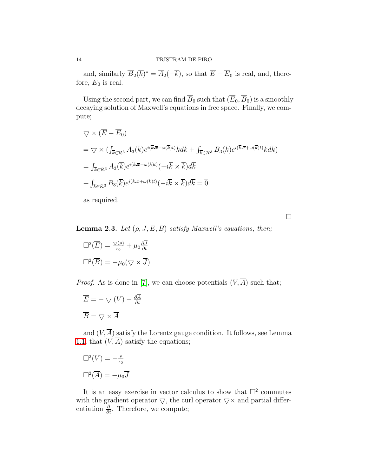and, similarly  $B_2(k)^* = A_2(-k)$ , so that  $E - E_0$  is real, and, therefore,  $\overline{E}_0$  is real.

Using the second part, we can find  $\overline{B}_0$  such that  $(\overline{E}_0, \overline{B}_0)$  is a smoothly decaying solution of Maxwell's equations in free space. Finally, we compute;

$$
\nabla \times (\overline{E} - \overline{E}_0)
$$
  
=  $\nabla \times (\int_{\overline{k} \in \mathcal{R}^3} A_3(\overline{k}) e^{i(\overline{k} \cdot \overline{x} - \omega(\overline{k})t)} \overline{k} d\overline{k} + \int_{\overline{k} \in \mathcal{R}^3} B_3(\overline{k}) e^{i(\overline{k} \cdot \overline{x} + \omega(\overline{k})t)} \overline{k} d\overline{k}$   
=  $\int_{\overline{k} \in \mathcal{R}^3} A_3(\overline{k}) e^{i(\overline{k} \cdot \overline{x} - \omega(\overline{k})t)} (-i\overline{k} \times \overline{k}) d\overline{k}$   
+  $\int_{\overline{k} \in \mathcal{R}^3} B_3(\overline{k}) e^{i(\overline{k} \cdot \overline{x} + \omega(\overline{k})t)} (-i\overline{k} \times \overline{k}) d\overline{k} = \overline{0}$ 

as required.

 $\Box$ 

<span id="page-13-0"></span>**Lemma 2.3.** Let  $(\rho, \overline{J}, \overline{E}, \overline{B})$  satisfy Maxwell's equations, then;

$$
\Box^2(\overline{E}) = \frac{\nabla(\rho)}{\epsilon_0} + \mu_0 \frac{\partial \overline{J}}{\partial t}
$$

$$
\Box^2(\overline{B}) = -\mu_0(\nabla \times \overline{J})
$$

*Proof.* As is done in [\[7\]](#page-37-0), we can choose potentials  $(V, \overline{A})$  such that;

$$
\overline{E} = -\nabla (V) - \frac{\partial \overline{A}}{\partial t}
$$

$$
\overline{B} = \nabla \times \overline{A}
$$

and  $(V, \overline{A})$  satisfy the Lorentz gauge condition. It follows, see Lemma [1.1,](#page-4-0) that  $(V, \overline{A})$  satisfy the equations;

$$
\Box^2(V) = -\frac{\rho}{\epsilon_0}
$$

$$
\Box^2(\overline{A}) = -\mu_0 \overline{J}
$$

It is an easy exercise in vector calculus to show that  $\Box^2$  commutes with the gradient operator  $\bigtriangledown$ , the curl operator  $\bigtriangledown \times$  and partial differentiation  $\frac{\partial}{\partial t}$ . Therefore, we compute;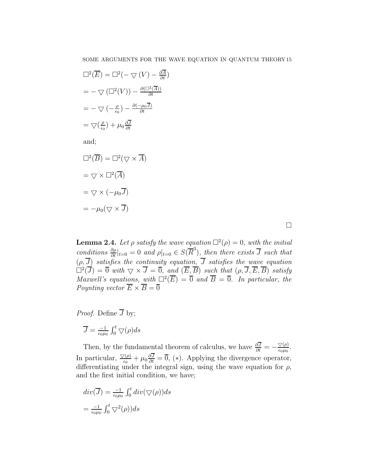$\left( \right)$ 

$$
\Box^2(\overline{E}) = \Box^2(- \nabla(V) - \frac{\partial \overline{A}}{\partial t})
$$

$$
= - \nabla(\Box^2(V)) - \frac{\partial(\Box^2(\overline{A}))}{\partial t}
$$

$$
= - \nabla(-\frac{\rho}{\epsilon_0}) - \frac{\partial(-\mu_0 \overline{J})}{\partial t}
$$

$$
= \nabla(\frac{\rho}{\epsilon_0}) + \mu_0 \frac{\partial \overline{J}}{\partial t}
$$

and;

$$
\Box^2(\overline{B}) = \Box^2(\nabla \times \overline{A})
$$

$$
= \nabla \times \Box^2(\overline{A})
$$

$$
= \nabla \times (-\mu_0 \overline{J})
$$

$$
= -\mu_0(\nabla \times \overline{J})
$$

 $\Box$ 

<span id="page-14-0"></span>**Lemma 2.4.** Let  $\rho$  satisfy the wave equation  $\Box^2(\rho) = 0$ , with the initial conditions  $\frac{\partial \rho}{\partial t}|_{t=0} = 0$  and  $\rho|_{t=0} \in S(\overline{R}^3)$ , then there exists  $\overline{J}$  such that  $(\rho, J)$  satisfies the continuity equation, J satisfies the wave equation  $\Box^2(\overline{J}) = \overline{0}$  with  $\bigtriangledown \times \overline{J} = \overline{0}$ , and  $(\overline{E}, \overline{B})$  such that  $(\rho, \overline{J}, \overline{E}, \overline{B})$  satisfy Maxwell's equations, with  $\Box^2(\overline{E}) = \overline{0}$  and  $\overline{B} = \overline{0}$ . In particular, the Poynting vector  $\overline{E} \times \overline{B} = \overline{0}$ 

*Proof.* Define  $\overline{J}$  by;

$$
\overline{J} = \tfrac{-1}{\epsilon_0 \mu_0} \int_0^t \bigtriangledown(\rho) ds
$$

Then, by the fundamental theorem of calculus, we have  $\frac{\partial \overline{J}}{\partial t} = -\frac{\nabla(\rho)}{\epsilon_0 \mu_0}$ . In particular,  $\frac{\nabla(\rho)}{\epsilon_0} + \mu_0 \frac{\partial \overline{J}}{\partial t} = \overline{0}$ , (\*). Applying the divergence operator, differentiating under the integral sign, using the wave equation for  $\rho$ , and the first initial condition, we have;

$$
div(\overline{J}) = \frac{-1}{\epsilon_0 \mu_0} \int_0^t div(\nabla(\rho))ds
$$
  
= 
$$
\frac{-1}{\epsilon_0 \mu_0} \int_0^t \nabla^2(\rho))ds
$$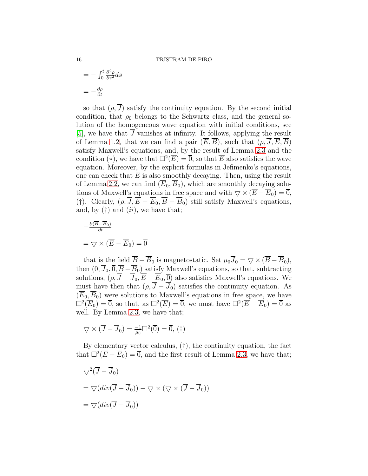$$
= -\int_0^t \frac{\partial^2 \rho}{\partial s^2} ds
$$

$$
= -\frac{\partial \rho}{\partial t}
$$

so that  $(\rho, \overline{J})$  satisfy the continuity equation. By the second initial condition, that  $\rho_0$  belongs to the Schwartz class, and the general solution of the homogeneous wave equation with initial conditions, see [\[5\]](#page-37-7), we have that  $\overline{J}$  vanishes at infinity. It follows, applying the result of Lemma [1.2,](#page-6-0) that we can find a pair  $(\overline{E}, \overline{B})$ , such that  $(\rho, \overline{J}, \overline{E}, \overline{B})$ satisfy Maxwell's equations, and, by the result of Lemma [2.3](#page-13-0) and the condition (\*), we have that  $\square^2(\overline{E}) = \overline{0}$ , so that  $\overline{E}$  also satisfies the wave equation. Moreover, by the explicit formulas in Jefimenko's equations, one can check that  $E$  is also smoothly decaying. Then, using the result of Lemma [2.2,](#page-8-0) we can find  $(\overline{E}_0, \overline{B}_0)$ , which are smoothly decaying solutions of Maxwell's equations in free space and with  $\bigtriangledown \times (\overline{E} - \overline{E}_0) = 0$ , (†). Clearly,  $(\rho, \overline{J}, \overline{E} - \overline{E}_0, \overline{B} - \overline{B}_0)$  still satisfy Maxwell's equations, and, by  $(\dagger)$  and  $(ii)$ , we have that;

$$
-\frac{\partial(\overline{B}-\overline{B}_0)}{\partial t}
$$

$$
=\nabla \times (\overline{E} - \overline{E}_0) = \overline{0}
$$

that is the field  $\overline{B} - \overline{B}_0$  is magnetostatic. Set  $\mu_0 \overline{J}_0 = \nabla \times (\overline{B} - \overline{B}_0)$ , then  $(0, \overline{J}_0, \overline{0}, \overline{B} - \overline{B}_0)$  satisfy Maxwell's equations, so that, subtracting solutions,  $(\rho, \overline{J} - \overline{J}_0, \overline{E} - \overline{E}_0, \overline{0})$  also satisfies Maxwell's equations. We must have then that  $(\rho, \overline{J} - \overline{J}_0)$  satisfies the continuity equation. As  $(\overline{E}_0, \overline{B}_0)$  were solutions to Maxwell's equations in free space, we have  $\Box^2(\overline{E}_0) = \overline{0}$ , so that, as  $\Box^2(\overline{E}) = \overline{0}$ , we must have  $\Box^2(\overline{E} - \overline{E}_0) = \overline{0}$  as well. By Lemma [2.3,](#page-13-0) we have that;

$$
\nabla \times (\overline{J} - \overline{J}_0) = \frac{-1}{\mu_0} \Box^2(\overline{0}) = \overline{0}, (\dagger)
$$

By elementary vector calculus, (†), the continuity equation, the fact that  $\square^2(\overline{E}-\overline{E}_0)=\overline{0}$ , and the first result of Lemma [2.3,](#page-13-0) we have that;

$$
\nabla^2 (\overline{J} - \overline{J}_0)
$$
  
=  $\nabla (div(\overline{J} - \overline{J}_0)) - \nabla \times (\nabla \times (\overline{J} - \overline{J}_0))$   
=  $\nabla (div(\overline{J} - \overline{J}_0))$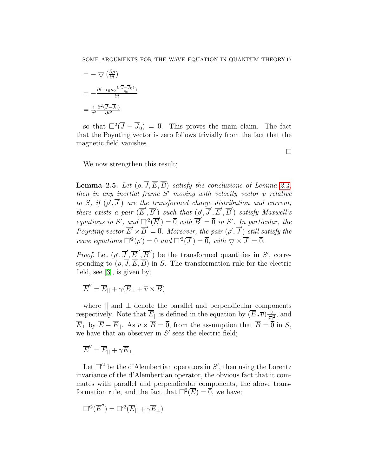$$
= - \nabla \left( \frac{\partial \rho}{\partial t} \right)
$$
  
= 
$$
- \frac{\partial (-\epsilon_0 \mu_0 \frac{\partial (\overline{J} - \overline{J}_0)}{\partial t})}{\partial t}
$$
  
= 
$$
\frac{1}{c^2} \frac{\partial^2 (\overline{J} - \overline{J}_0)}{\partial t^2}
$$

so that  $\square^2(\overline{J} - \overline{J}_0) = \overline{0}$ . This proves the main claim. The fact that the Poynting vector is zero follows trivially from the fact that the magnetic field vanishes.

 $\Box$ 

We now strengthen this result;

<span id="page-16-0"></span>**Lemma 2.5.** Let  $(\rho, \overline{J}, \overline{E}, \overline{B})$  satisfy the conclusions of Lemma [2.4,](#page-14-0) then in any inertial frame S' moving with velocity vector  $\overline{v}$  relative to S, if  $(\rho', \overline{J}')$  are the transformed charge distribution and current, there exists a pair  $(\overline{E}', \overline{B}')$  such that  $(\rho', \overline{J}', \overline{E}', \overline{B}')$  satisfy Maxwell's equations in S', and  $\Box^2(\overline{E}') = \overline{0}$  with  $\overline{B}' = \overline{0}$  in S'. In particular, the Poynting vector  $\overline{E}' \times \overline{B}' = \overline{0}$ . Moreover, the pair  $(\rho', \overline{J}')$  still satisfy the wave equations  $\Box'^2(\rho') = 0$  and  $\Box'^2(\overline{J}') = \overline{0}$ , with  $\bigtriangledown \times \overline{J}' = \overline{0}$ .

*Proof.* Let  $(\rho', \overline{J}', \overline{E}'', \overline{B}'')$  be the transformed quantities in S', corresponding to  $(\rho, \overline{J}, \overline{E}, \overline{B})$  in S. The transformation rule for the electric field, see [\[3\]](#page-37-8), is given by;

$$
\overline{E}'' = \overline{E}_{||} + \gamma(\overline{E}_{\perp} + \overline{v} \times \overline{B})
$$

where  $\parallel$  and  $\perp$  denote the parallel and perpendicular components respectively. Note that  $\overline{E}_{\parallel}$  is defined in the equation by  $(\overline{E} \cdot \overline{v}) \frac{\overline{v}}{|\overline{v}|}$  $\frac{\overline{v}}{|\overline{v}|^2}$ , and  $\overline{E}_{\perp}$  by  $\overline{E} - \overline{E}_{\parallel}$ . As  $\overline{v} \times \overline{B} = \overline{0}$ , from the assumption that  $\overline{B} = \overline{0}$  in S, we have that an observer in  $S'$  sees the electric field;

 $\overline{E}'' = \overline{E}_{||} + \gamma \overline{E}_{\perp}$ 

Let  $\Box$ <sup>2</sup> be the d'Alembertian operators in S', then using the Lorentz invariance of the d'Alembertian operator, the obvious fact that it commutes with parallel and perpendicular components, the above transformation rule, and the fact that  $\Box^2(\overline{E}) = \overline{0}$ , we have;

$$
\Box^{\prime 2}(\overline{E}^{\prime\prime}) = \Box^{\prime 2}(\overline{E}_{||} + \gamma \overline{E}_{\perp})
$$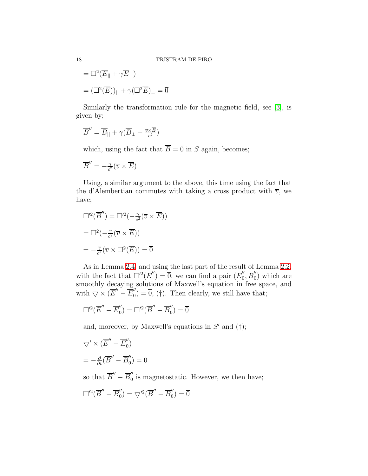$$
= \Box^{2}(\overline{E}_{||} + \gamma \overline{E}_{\perp})
$$

$$
= (\Box^{2}(\overline{E}))_{||} + \gamma(\Box^{2}\overline{E})_{\perp} = \overline{0}
$$

Similarly the transformation rule for the magnetic field, see [\[3\]](#page-37-8), is given by;

$$
\overline{B}'' = \overline{B}_{||} + \gamma (\overline{B}_{\perp} - \frac{\overline{v} \times \overline{E}}{c^2})
$$

which, using the fact that  $\overline{B} = \overline{0}$  in S again, becomes;

$$
\overline{B}'' = -\frac{\gamma}{c^2} (\overline{v} \times \overline{E})
$$

Using, a similar argument to the above, this time using the fact that the d'Alembertian commutes with taking a cross product with  $\overline{v}$ , we have;

$$
\Box^2(\overline{B}'') = \Box^2(-\frac{\gamma}{c^2}(\overline{v} \times \overline{E}))
$$

$$
= \Box^2(-\frac{\gamma}{c^2}(\overline{v} \times \overline{E}))
$$

$$
= -\frac{\gamma}{c^2}(\overline{v} \times \Box^2(\overline{E})) = \overline{0}
$$

As in Lemma [2.4,](#page-14-0) and using the last part of the result of Lemma [2.2,](#page-8-0) with the fact that  $\Box^{\prime 2}(\overline{E}'') = \overline{0}$ , we can find a pair  $(\overline{E}'_0, \overline{B}'_0)$  which are smoothly decaying solutions of Maxwell's equation in free space, and with  $\bigtriangledown \times (\overline{E}'' - \overline{E}'_0) = \overline{0}$ , (†). Then clearly, we still have that;

$$
\Box^{\prime 2}(\overline{E}^{\prime\prime}-\overline{E}^{\prime\prime}_0)=\Box^{\prime 2}(\overline{B}^{\prime\prime}-\overline{B}^{\prime\prime}_0)=\overline{0}
$$

and, moreover, by Maxwell's equations in  $S'$  and  $(\dagger)$ ;

$$
\nabla' \times (\overline{E}'' - \overline{E}'_0)
$$
  
=  $-\frac{\partial}{\partial t}(\overline{B}'' - \overline{B}'_0) = \overline{0}$ 

so that  $\overline{B}'' - \overline{B}_0''$  is magnetostatic. However, we then have;

$$
\Box^{\prime 2}(\overline{B}^{\prime\prime} - \overline{B}_0^{\prime\prime}) = \bigtriangledown^{\prime 2}(\overline{B}^{\prime\prime} - \overline{B}_0^{\prime\prime}) = \overline{0}
$$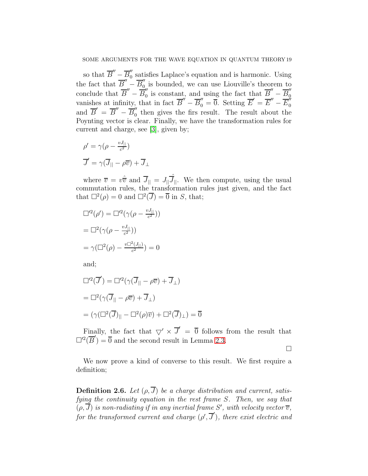so that  $\overline{B}'' - \overline{B}''_0$  satisfies Laplace's equation and is harmonic. Using 0 the fact that  $\overline{B}'' - \overline{B}''_0$  is bounded, we can use Liouville's theorem to conclude that  $\overline{B}'' - \overline{B}''_0$  is constant, and using the fact that  $\overline{B}'' - \overline{B}''_0$ vanishes at infinity, that in fact  $\overline{B}'' - \overline{B}'_0 = \overline{0}$ . Setting  $\overline{E}' = \overline{E}'' - \overline{E}'_0$ and  $\overline{B}' = \overline{B}'' - \overline{B}''_0$  then gives the firs result. The result about the Poynting vector is clear. Finally, we have the transformation rules for current and charge, see [\[3\]](#page-37-8), given by;

$$
\rho' = \gamma(\rho - \frac{vJ_{\parallel}}{c^2})
$$

$$
\overline{J}' = \gamma(\overline{J}_{\parallel} - \rho \overline{v}) + \overline{J}_{\perp}
$$

where  $\overline{v} = v\hat{\overline{v}}$  and  $\overline{J}_{||} = J_{||}\hat{\overline{J}}_{||}$ . We then compute, using the usual commutation rules, the transformation rules just given, and the fact that  $\Box^2(\rho) = 0$  and  $\Box^2(\overline{J}) = \overline{0}$  in S, that;

$$
\Box^2(\rho') = \Box^2(\gamma(\rho - \frac{vJ_{||}}{c^2}))
$$

$$
= \Box^2(\gamma(\rho - \frac{vJ_{||}}{c^2}))
$$

$$
= \gamma(\Box^2(\rho) - \frac{v\Box^2(J_{||})}{c^2}) = 0
$$

and;

$$
\Box^{2}(\overline{J}') = \Box^{2}(\gamma(\overline{J}_{||} - \rho \overline{v}) + \overline{J}_{\perp})
$$
  
= 
$$
\Box^{2}(\gamma(\overline{J}_{||} - \rho \overline{v}) + \overline{J}_{\perp})
$$
  
= 
$$
(\gamma(\Box^{2}(\overline{J})_{||} - \Box^{2}(\rho)\overline{v}) + \Box^{2}(\overline{J})_{\perp}) = \overline{0}
$$

Finally, the fact that  $\nabla' \times \overline{J}' = \overline{0}$  follows from the result that  $\Box^2(\overline{B}') = \overline{0}$  and the second result in Lemma [2.3.](#page-13-0)

 $\Box$ 

We now prove a kind of converse to this result. We first require a definition;

<span id="page-18-0"></span>**Definition 2.6.** Let  $(\rho, \overline{J})$  be a charge distribution and current, satisfying the continuity equation in the rest frame S. Then, we say that  $(\rho, J)$  is non-radiating if in any inertial frame S', with velocity vector  $\overline{v}$ , for the transformed current and charge  $(\rho', \overline{J}')$ , there exist electric and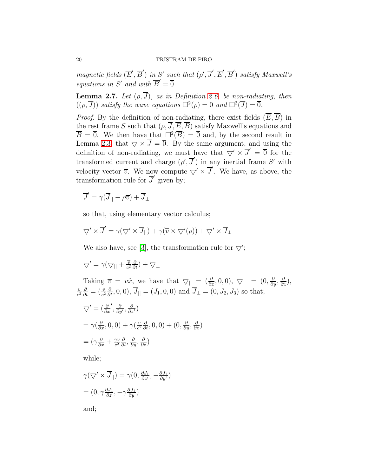magnetic fields  $(\overline{E}', \overline{B}')$  in S' such that  $(\rho', \overline{J}', \overline{E}', \overline{B}')$  satisfy Maxwell's equations in S' and with  $\overline{B}' = \overline{0}$ .

<span id="page-19-0"></span>**Lemma 2.7.** Let  $(\rho, \overline{J})$ , as in Definition [2.6,](#page-18-0) be non-radiating, then  $((\rho, \overline{J}))$  satisfy the wave equations  $\Box^2(\rho) = 0$  and  $\Box^2(\overline{J}) = \overline{0}$ .

*Proof.* By the definition of non-radiating, there exist fields  $(\overline{E}, \overline{B})$  in the rest frame S such that  $(\rho, \overline{J}, \overline{E}, \overline{B})$  satisfy Maxwell's equations and  $\overline{B} = \overline{0}$ . We then have that  $\square^2(\overline{B}) = \overline{0}$  and, by the second result in Lemma [2.3,](#page-13-0) that  $\bigtriangledown \times \overline{J} = \overline{0}$ . By the same argument, and using the definition of non-radiating, we must have that  $\bigtriangledown' \times \overline{J}' = \overline{0}$  for the transformed current and charge  $(\rho', \overline{J}')$  in any inertial frame S' with velocity vector  $\overline{v}$ . We now compute  $\bigtriangledown' \times \overline{J}'$ . We have, as above, the transformation rule for  $\overline{J}'$  given by;

$$
\overline{J}' = \gamma(\overline{J}_{||} - \rho \overline{v}) + \overline{J}_{\perp}
$$

so that, using elementary vector calculus;

$$
\nabla' \times \overline{J}' = \gamma(\nabla' \times \overline{J}_{||}) + \gamma(\overline{v} \times \nabla'(\rho)) + \nabla' \times \overline{J}_{\perp}
$$

We also have, see [\[3\]](#page-37-8), the transformation rule for  $\bigtriangledown'$ ;

$$
\nabla' = \gamma(\nabla_{||} + \frac{\overline{v}}{c^2} \frac{\partial}{\partial t}) + \nabla_{\perp}
$$

Taking  $\overline{v} = v\hat{x}$ , we have that  $\nabla || = \left(\frac{\partial}{\partial x}, 0, 0\right), \nabla \perp = \left(0, \frac{\partial}{\partial y}, \frac{\partial}{\partial z}\right),$  $\overline{v}$  $\frac{\overline{v}}{c^2} \frac{\partial}{\partial t} = (\frac{v}{c^2} \frac{\partial}{\partial t}, 0, 0), \overline{J}_{\parallel} = (J_1, 0, 0)$  and  $\overline{J}_{\perp} = (0, J_2, J_3)$  so that;

$$
\nabla' = \left(\frac{\partial}{\partial x'}, \frac{\partial}{\partial y'}, \frac{\partial}{\partial z'}\right)
$$
  
=  $\gamma \left(\frac{\partial}{\partial x}, 0, 0\right) + \gamma \left(\frac{v}{c^2} \frac{\partial}{\partial t}, 0, 0\right) + \left(0, \frac{\partial}{\partial y}, \frac{\partial}{\partial z}\right)$   
=  $\left(\gamma \frac{\partial}{\partial x} + \frac{\gamma v}{c^2} \frac{\partial}{\partial t}, \frac{\partial}{\partial y}, \frac{\partial}{\partial z}\right)$ 

while;

$$
\gamma(\nabla' \times \overline{J}_{||}) = \gamma(0, \frac{\partial J_1}{\partial z'}, -\frac{\partial J_1}{\partial y'})
$$
  
=  $(0, \gamma \frac{\partial J_1}{\partial z}, -\gamma \frac{\partial J_1}{\partial y})$ 

and;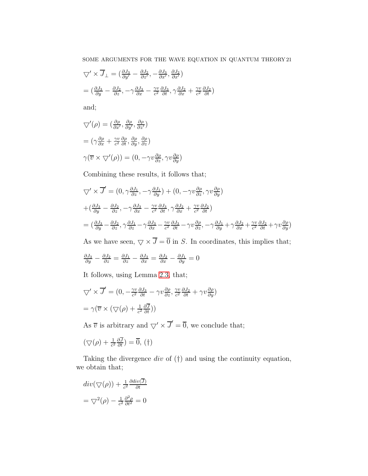$$
\begin{aligned}\n\nabla' \times \overline{J}_{\perp} &= \left(\frac{\partial J_3}{\partial y'} - \frac{\partial J_2}{\partial z'}, -\frac{\partial J_3}{\partial x'}, \frac{\partial J_2}{\partial x'}\right) \\
&= \left(\frac{\partial J_3}{\partial y} - \frac{\partial J_2}{\partial z}, -\gamma \frac{\partial J_3}{\partial x} - \frac{\gamma v}{c^2} \frac{\partial J_3}{\partial t}, \gamma \frac{\partial J_2}{\partial x} + \frac{\gamma v}{c^2} \frac{\partial J_2}{\partial t}\right)\n\end{aligned}
$$

and;

$$
\nabla'(\rho) = (\frac{\partial \rho}{\partial x'}, \frac{\partial \rho}{\partial y'}, \frac{\partial \rho}{\partial z'})
$$
  
=  $(\gamma \frac{\partial \rho}{\partial x} + \frac{\gamma v}{c^2} \frac{\partial \rho}{\partial t}, \frac{\partial \rho}{\partial y}, \frac{\partial \rho}{\partial z})$   
 $\gamma(\overline{v} \times \nabla'(\rho)) = (0, -\gamma v \frac{\partial \rho}{\partial z}, \gamma v \frac{\partial \rho}{\partial y})$ 

Combining these results, it follows that;

$$
\nabla' \times \overline{J}' = (0, \gamma \frac{\partial J_1}{\partial z}, -\gamma \frac{\partial J_1}{\partial y}) + (0, -\gamma \nu \frac{\partial \rho}{\partial z}, \gamma \nu \frac{\partial \rho}{\partial y})
$$
  
+  $(\frac{\partial J_3}{\partial y} - \frac{\partial J_2}{\partial z}, -\gamma \frac{\partial J_3}{\partial x} - \frac{\gamma \nu}{c^2} \frac{\partial J_3}{\partial t}, \gamma \frac{\partial J_2}{\partial x} + \frac{\gamma \nu}{c^2} \frac{\partial J_2}{\partial t})$   
=  $(\frac{\partial J_3}{\partial y} - \frac{\partial J_2}{\partial z}, \gamma \frac{\partial J_1}{\partial z} - \gamma \frac{\partial J_3}{\partial x} - \frac{\gamma \nu}{c^2} \frac{\partial J_3}{\partial t} - \gamma \nu \frac{\partial \rho}{\partial z}, -\gamma \frac{\partial J_1}{\partial y} + \gamma \frac{\partial J_2}{\partial x} + \frac{\gamma \nu}{c^2} \frac{\partial J_2}{\partial t} + \gamma \nu \frac{\partial \rho}{\partial y})$ 

As we have seen,  $\bigtriangledown \times \overline{J} = \overline{0}$  in S. In coordinates, this implies that;

$$
\frac{\partial J_3}{\partial y} - \frac{\partial J_2}{\partial z} = \frac{\partial J_1}{\partial z} - \frac{\partial J_3}{\partial x} = \frac{\partial J_2}{\partial x} - \frac{\partial J_1}{\partial y} = 0
$$

It follows, using Lemma [2.3,](#page-13-0) that;

$$
\nabla' \times \overline{J}' = (0, -\frac{\gamma v}{c^2} \frac{\partial J_3}{\partial t} - \gamma v \frac{\partial \rho}{\partial z}, \frac{\gamma v}{c^2} \frac{\partial J_2}{\partial t} + \gamma v \frac{\partial \rho}{\partial y})
$$
  
=  $\gamma (\overline{v} \times (\nabla(\rho) + \frac{1}{c^2} \frac{\partial \overline{J}}{\partial t}))$ 

As  $\overline{v}$  is arbitrary and  $\bigtriangledown' \times \overline{J}' = \overline{0}$ , we conclude that;

$$
(\nabla(\rho) + \frac{1}{c^2} \frac{\partial \overline{J}}{\partial t}) = \overline{0}, (\dagger)
$$

Taking the divergence  $div$  of  $(†)$  and using the continuity equation, we obtain that;

$$
div(\nabla(\rho)) + \frac{1}{c^2} \frac{\partial div(\overline{J})}{\partial t}
$$

$$
= \nabla^2(\rho) - \frac{1}{c^2} \frac{\partial^2 \rho}{\partial t^2} = 0
$$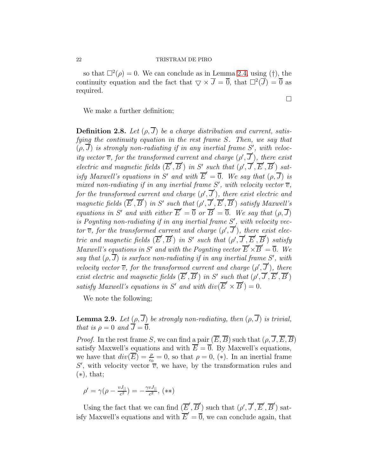so that  $\Box^2(\rho) = 0$ . We can conclude as in Lemma [2.4,](#page-14-0) using (†), the continuity equation and the fact that  $\bigtriangledown \times \overline{J} = \overline{0}$ , that  $\bigtriangleup^2(\overline{J}) = \overline{0}$  as required.

We make a further definition;

<span id="page-21-0"></span>**Definition 2.8.** Let  $(\rho, \overline{J})$  be a charge distribution and current, satisfying the continuity equation in the rest frame S. Then, we say that  $(\rho, J)$  is strongly non-radiating if in any inertial frame S', with velocity vector  $\overline{v}$ , for the transformed current and charge  $(\rho', \overline{J}')$ , there exist electric and magnetic fields  $(\overline{E}', \overline{B}')$  in S' such that  $(\rho', \overline{J}', \overline{E}', \overline{B}')$  satisfy Maxwell's equations in S' and with  $\overline{E}' = \overline{0}$ . We say that  $(\rho, \overline{J})$  is mixed non-radiating if in any inertial frame S', with velocity vector  $\overline{v}$ , for the transformed current and charge  $(\rho', \overline{J}')$ , there exist electric and magnetic fields  $(\overline{E}', \overline{B}')$  in S' such that  $(\rho', \overline{J}', \overline{E}', \overline{B}')$  satisfy Maxwell's equations in S' and with either  $\overline{E}' = \overline{0}$  or  $\overline{B}' = \overline{0}$ . We say that  $(\rho, \overline{J})$ is Poynting non-radiating if in any inertial frame S', with velocity vector  $\overline{v}$ , for the transformed current and charge  $(\rho', \overline{J}')$ , there exist electric and magnetic fields  $(\overline{E}', \overline{B}')$  in S' such that  $(\rho', \overline{J}', \overline{E}', \overline{B}')$  satisfy Maxwell's equations in S' and with the Poynting vector  $\overline{E}' \times \overline{B}' = \overline{0}$ . We say that  $(\rho, J)$  is surface non-radiating if in any inertial frame S', with velocity vector  $\overline{v}$ , for the transformed current and charge  $(\rho', \overline{J}')$ , there exist electric and magnetic fields  $(\overline{E}', \overline{B}')$  in S' such that  $(\rho', \overline{J}', \overline{E}', \overline{B}')$ satisfy Maxwell's equations in S' and with  $div(\overline{E}' \times \overline{B}') = 0$ .

We note the following;

<span id="page-21-1"></span>**Lemma 2.9.** Let  $(\rho, \overline{J})$  be strongly non-radiating, then  $(\rho, \overline{J})$  is trivial, that is  $\rho = 0$  and  $\overline{J} = \overline{0}$ .

*Proof.* In the rest frame S, we can find a pair  $(\overline{E}, \overline{B})$  such that  $(\rho, \overline{J}, \overline{E}, \overline{B})$ satisfy Maxwell's equations and with  $\overline{E} = \overline{0}$ . By Maxwell's equations, we have that  $div(\overline{E}) = \frac{\rho}{\epsilon_0} = 0$ , so that  $\rho = 0$ , (\*). In an inertial frame S', with velocity vector  $\overline{v}$ , we have, by the transformation rules and  $(*),$  that;

$$
\rho' = \gamma(\rho - \frac{vJ_{||}}{c^2}) = -\frac{\gamma vJ_{||}}{c^2}, \, (\ast \ast)
$$

Using the fact that we can find  $(\overline{E}', \overline{B}')$  such that  $(\rho', \overline{J}', \overline{E}', \overline{B}')$  satisfy Maxwell's equations and with  $\overline{E}' = \overline{0}$ , we can conclude again, that

 $\Box$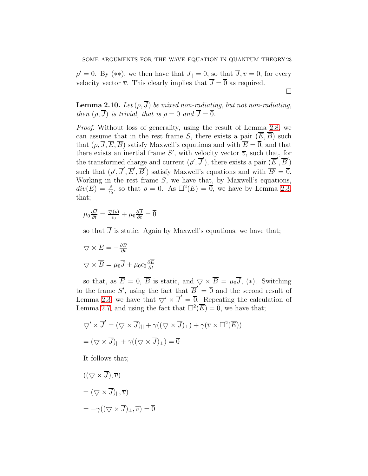$\rho' = 0$ . By (\*\*), we then have that  $J_{\parallel} = 0$ , so that  $J, \overline{v} = 0$ , for every velocity vector  $\overline{v}$ . This clearly implies that  $\overline{J} = \overline{0}$  as required.

 $\Box$ 

<span id="page-22-0"></span>**Lemma 2.10.** Let  $(\rho, \overline{J})$  be mixed non-radiating, but not non-radiating, then  $(\rho, \overline{J})$  is trivial, that is  $\rho = 0$  and  $\overline{J} = \overline{0}$ .

Proof. Without loss of generality, using the result of Lemma [2.8,](#page-21-0) we can assume that in the rest frame S, there exists a pair  $(\overline{E}, \overline{B})$  such that  $(\rho, \overline{J}, \overline{E}, \overline{B})$  satisfy Maxwell's equations and with  $\overline{E} = \overline{0}$ , and that there exists an inertial frame S', with velocity vector  $\overline{v}$ , such that, for the transformed charge and current  $(\rho', \overline{J}')$ , there exists a pair  $(\overline{E}', \overline{B}')$ such that  $(\rho', \overline{J}', \overline{E}', \overline{B}')$  satisfy Maxwell's equations and with  $\overline{B'} = \overline{0}$ . Working in the rest frame  $S$ , we have that, by Maxwell's equations,  $div(\overline{E}) = \frac{\rho}{\epsilon_0}$ , so that  $\rho = 0$ . As  $\Box^2(\overline{E}) = \overline{0}$ , we have by Lemma [2.3,](#page-13-0) that;

$$
\mu_0 \frac{\partial \overline{J}}{\partial t} = \frac{\nabla(\rho)}{\epsilon_0} + \mu_0 \frac{\partial \overline{J}}{\partial t} = \overline{0}
$$

so that  $\overline{J}$  is static. Again by Maxwell's equations, we have that;

$$
\nabla \times \overline{E} = -\frac{\partial \overline{B}}{\partial t}
$$

$$
\nabla \times \overline{B} = \mu_0 \overline{J} + \mu_0 \epsilon_0 \frac{\partial \overline{E}}{\partial t}
$$

so that, as  $\overline{E} = \overline{0}$ ,  $\overline{B}$  is static, and  $\overline{\vee} \times \overline{B} = \mu_0 \overline{J}$ , (\*). Switching to the frame S', using the fact that  $\overline{B}' = \overline{0}$  and the second result of Lemma [2.3,](#page-13-0) we have that  $\nabla' \times \overline{J}' = \overline{0}$ . Repeating the calculation of Lemma [2.7,](#page-19-0) and using the fact that  $\Box^2(\overline{E}) = 0$ , we have that;

$$
\nabla' \times \overline{J}' = (\nabla \times \overline{J})_{||} + \gamma((\nabla \times \overline{J})_{\perp}) + \gamma(\overline{v} \times \square^2(\overline{E}))
$$

$$
= (\nabla \times \overline{J})_{||} + \gamma((\nabla \times \overline{J})_{\perp}) = \overline{0}
$$

It follows that;

$$
((\nabla \times \overline{J}), \overline{v})
$$
  
=  $(\nabla \times \overline{J})_{||}, \overline{v})$   
=  $-\gamma((\nabla \times \overline{J})_{\perp}, \overline{v}) = \overline{0}$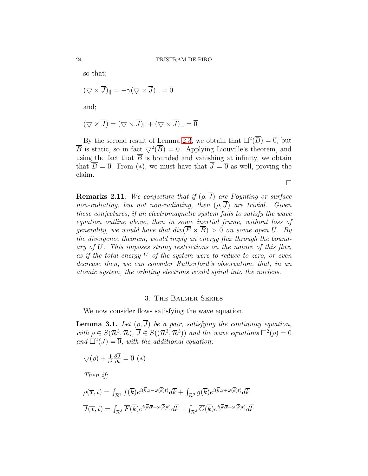so that;

$$
(\nabla \times \overline{J})_{||} = -\gamma (\nabla \times \overline{J})_{\perp} = \overline{0}
$$

and;

$$
(\nabla \times \overline{J}) = (\nabla \times \overline{J})_{||} + (\nabla \times \overline{J})_{\perp} = \overline{0}
$$

By the second result of Lemma [2.3,](#page-13-0) we obtain that  $\Box^2(\overline{B}) = \overline{0}$ , but  $\overline{B}$  is static, so in fact  $\nabla^2(\overline{B}) = \overline{0}$ . Applying Liouville's theorem, and using the fact that  $\overline{B}$  is bounded and vanishing at infinity, we obtain that  $\overline{B} = \overline{0}$ . From (\*), we must have that  $\overline{J} = \overline{0}$  as well, proving the claim.

 $\Box$ 

**Remarks 2.11.** We conjecture that if  $(\rho, \overline{J})$  are Poynting or surface non-radiating, but not non-radiating, then  $(\rho, \overline{J})$  are trivial. Given these conjectures, if an electromagnetic system fails to satisfy the wave equation outline above, then in some inertial frame, without loss of generality, we would have that  $div(\overline{E} \times \overline{B}) > 0$  on some open U. By the divergence theorem, would imply an energy flux through the boundary of U. This imposes strong restrictions on the nature of this flux, as if the total energy V of the system were to reduce to zero, or even decrease then, we can consider Rutherford's observation, that, in an atomic system, the orbiting electrons would spiral into the nucleus.

#### 3. The Balmer Series

We now consider flows satisfying the wave equation.

<span id="page-23-0"></span>**Lemma 3.1.** Let  $(\rho, \overline{J})$  be a pair, satisfying the continuity equation, with  $\rho \in S(\mathcal{R}^3, \mathcal{R})$ ,  $\overline{J} \in S((\mathcal{R}^3, \mathcal{R}^3))$  and the wave equations  $\Box^2(\rho) = 0$ and  $\Box^2(\overline{J}) = \overline{0}$ , with the additional equation;

$$
\nabla(\rho) + \frac{1}{c^2} \frac{\partial \overline{J}}{\partial t} = \overline{0} \ (*)
$$

Then if;

$$
\rho(\overline{x},t) = \int_{\mathcal{R}^3} f(\overline{k}) e^{i(\overline{k}.\overline{x}-\omega(\overline{k})t)} d\overline{k} + \int_{\mathcal{R}^3} g(\overline{k}) e^{i(\overline{k}.\overline{x}+\omega(\overline{k})t)} d\overline{k}
$$

$$
\overline{J}(\overline{x},t) = \int_{\mathcal{R}^3} \overline{F}(\overline{k}) e^{i(\overline{k}.\overline{x}-\omega(\overline{k})t)} d\overline{k} + \int_{\mathcal{R}^3} \overline{G}(\overline{k}) e^{i(\overline{k}.\overline{x}+\omega(\overline{k})t)} d\overline{k}
$$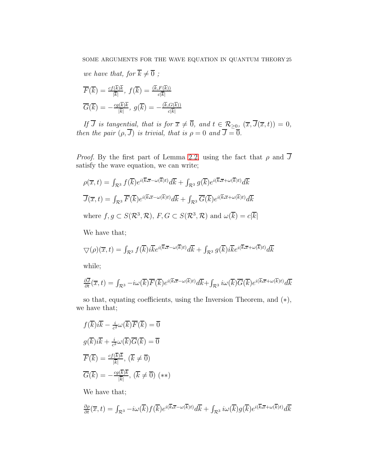we have that, for  $\overline{k} \neq \overline{0}$ ;

$$
\overline{F}(\overline{k}) = \frac{cf(\overline{k})\overline{k}}{|\overline{k}|}, f(\overline{k}) = \frac{(\overline{k}, F(\overline{k}))}{c|\overline{k}|}
$$

$$
\overline{G}(\overline{k}) = -\frac{cg(\overline{k})\overline{k}}{|\overline{k}|}, g(\overline{k}) = -\frac{(\overline{k}, G(\overline{k}))}{c|\overline{k}|}
$$

If J is tangential, that is for  $\overline{x} \neq \overline{0}$ , and  $t \in \mathcal{R}_{\geq 0}$ ,  $(\overline{x}, J(\overline{x}, t)) = 0$ , then the pair  $(\rho, J)$  is trivial, that is  $\rho = 0$  and  $J = 0$ .

*Proof.* By the first part of Lemma [2.2,](#page-8-0) using the fact that  $\rho$  and  $\overline{J}$ satisfy the wave equation, we can write;

$$
\rho(\overline{x},t) = \int_{\mathcal{R}^3} f(\overline{k}) e^{i(\overline{k}.\overline{x}-\omega(\overline{k})t)} d\overline{k} + \int_{\mathcal{R}^3} g(\overline{k}) e^{i(\overline{k}.\overline{x}+\omega(\overline{k})t)} d\overline{k}
$$
  

$$
\overline{J}(\overline{x},t) = \int_{\mathcal{R}^3} \overline{F}(\overline{k}) e^{i(\overline{k}.\overline{x}-\omega(\overline{k})t)} d\overline{k} + \int_{\mathcal{R}^3} \overline{G}(\overline{k}) e^{i(\overline{k}.\overline{x}+\omega(\overline{k})t)} d\overline{k}
$$
  
where  $f, g \subset S(\mathcal{R}^3, \mathcal{R}), F, G \subset S(\mathcal{R}^3, \mathcal{R})$  and  $\omega(\overline{k}) = c|\overline{k}|$ 

We have that;

$$
\nabla(\rho)(\overline{x},t) = \int_{\mathcal{R}^3} f(\overline{k}) i \overline{k} e^{i(\overline{k} \cdot \overline{x} - \omega(\overline{k})t)} d\overline{k} + \int_{\mathcal{R}^3} g(\overline{k}) i \overline{k} e^{i(\overline{k} \cdot \overline{x} + \omega(\overline{k})t)} d\overline{k}
$$

while;

$$
\frac{\partial \overline{J}}{\partial t}(\overline{x},t) = \int_{\mathcal{R}^3} -i\omega(\overline{k})\overline{F}(\overline{k})e^{i(\overline{k}.\overline{x}-\omega(\overline{k})t)}d\overline{k} + \int_{\mathcal{R}^3} i\omega(\overline{k})\overline{G}(\overline{k})e^{i(\overline{k}.\overline{x}+\omega(\overline{k})t)}d\overline{k}
$$

so that, equating coefficients, using the Inversion Theorem, and  $(*),$ we have that;

$$
f(\overline{k})i\overline{k} - \frac{i}{c^2}\omega(\overline{k})\overline{F}(\overline{k}) = \overline{0}
$$

$$
g(\overline{k})i\overline{k} + \frac{i}{c^2}\omega(\overline{k})\overline{G}(\overline{k}) = \overline{0}
$$

$$
\overline{F}(\overline{k}) = \frac{cf(\overline{k})\overline{k}}{|\overline{k}|}, (\overline{k} \neq \overline{0})
$$

$$
\overline{G}(\overline{k}) = -\frac{cg(\overline{k})\overline{k}}{|\overline{k}|}, (\overline{k} \neq \overline{0}) (**)
$$

We have that;

$$
\frac{\partial \rho}{\partial t}(\overline{x},t) = \int_{\mathcal{R}^3} -i\omega(\overline{k})f(\overline{k})e^{i(\overline{k}.\overline{x}-\omega(\overline{k})t)}d\overline{k} + \int_{\mathcal{R}^3} i\omega(\overline{k})g(\overline{k})e^{i(\overline{k}.\overline{x}+\omega(\overline{k})t)}d\overline{k}
$$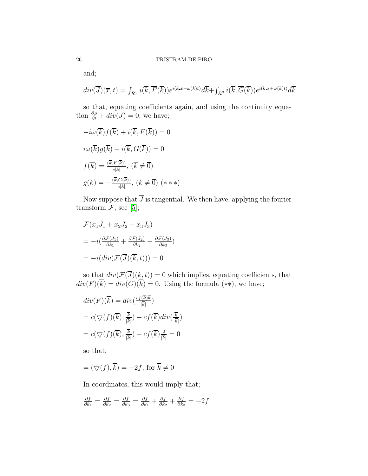and;

$$
div(\overline{J})(\overline{x},t) = \int_{\mathcal{R}^3} i(\overline{k},\overline{F}(\overline{k})) e^{i(\overline{k}\cdot\overline{x}-\omega(\overline{k})t)} d\overline{k} + \int_{\mathcal{R}^3} i(\overline{k},\overline{G}(\overline{k})) e^{i(\overline{k}\cdot\overline{x}+\omega(\overline{k})t)} d\overline{k}
$$

so that, equating coefficients again, and using the continuity equation  $\frac{\partial \rho}{\partial t} + div(\overline{J}) = 0$ , we have;

$$
-i\omega(\overline{k})f(\overline{k}) + i(\overline{k}, F(\overline{k})) = 0
$$
  

$$
i\omega(\overline{k})g(\overline{k}) + i(\overline{k}, G(\overline{k})) = 0
$$
  

$$
f(\overline{k}) = \frac{(\overline{k}, F(\overline{k}))}{c|\overline{k}|}, (\overline{k} \neq \overline{0})
$$
  

$$
g(\overline{k}) = -\frac{(\overline{k}, G(\overline{k}))}{c|\overline{k}|}, (\overline{k} \neq \overline{0}) (* *)
$$

Now suppose that  $\overline{J}$  is tangential. We then have, applying the fourier transform  $\mathcal{F}$ , see [\[5\]](#page-37-7);

$$
\mathcal{F}(x_1J_1 + x_2J_2 + x_3J_3)
$$
  
=  $-i(\frac{\partial \mathcal{F}(J_1)}{\partial k_1} + \frac{\partial \mathcal{F}(J_2)}{\partial k_2} + \frac{\partial \mathcal{F}(J_3)}{\partial k_3})$   
=  $-i(div(\mathcal{F}(\overline{J})(\overline{k}, t))) = 0$ 

so that  $div(\mathcal{F}(\underline{J})(k,t)) = 0$  which implies, equating coefficients, that  $div(F)(k) = div(G)(k) = 0$ . Using the formula (\*\*), we have;

$$
div(\overline{F})(\overline{k}) = div(\frac{cf(\overline{k})\overline{k}}{|\overline{k}|})
$$
  
=  $c(\nabla(f)(\overline{k}), \frac{\overline{k}}{|\overline{k}|}) + cf(\overline{k})div(\frac{\overline{k}}{|\overline{k}|})$   
=  $c(\nabla(f)(\overline{k}), \frac{\overline{k}}{|\overline{k}|}) + cf(\overline{k})\frac{2}{|\overline{k}|} = 0$ 

so that;

$$
= (\nabla(f), \overline{k}) = -2f, \text{ for } \overline{k} \neq \overline{0}
$$

In coordinates, this would imply that;

$$
\frac{\partial f}{\partial k_1} = \frac{\partial f}{\partial k_2} = \frac{\partial f}{\partial k_3} = \frac{\partial f}{\partial k_1} + \frac{\partial f}{\partial k_2} + \frac{\partial f}{\partial k_3} = -2f
$$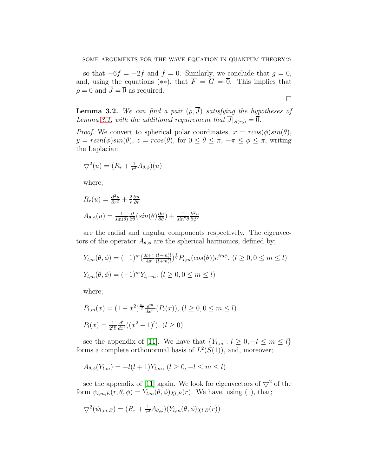so that  $-6f = -2f$  and  $f = 0$ . Similarly, we conclude that  $g = 0$ , and, using the equations (\*\*), that  $\overline{F} = \overline{G} = \overline{0}$ . This implies that  $\rho = 0$  and  $\overline{J} = \overline{0}$  as required.

$$
\Box
$$

<span id="page-26-0"></span>**Lemma 3.2.** We can find a pair  $(\rho, \overline{J})$  satisfying the hypotheses of Lemma [3.1,](#page-23-0) with the additional requirement that  $\overline{J}|_{S(r_0)} = \overline{0}$ .

*Proof.* We convert to spherical polar coordinates,  $x = r\cos(\phi)\sin(\theta)$ ,  $y = r\sin(\phi)\sin(\theta)$ ,  $z = r\cos(\theta)$ , for  $0 \le \theta \le \pi$ ,  $-\pi \le \phi \le \pi$ , writing the Laplacian;

$$
\nabla^2(u) = (R_r + \tfrac{1}{r^2} A_{\theta,\phi})(u)
$$

where;

$$
R_r(u) = \frac{\partial^2 u}{\partial r^2} + \frac{2}{r} \frac{\partial u}{\partial r}
$$
  

$$
A_{\theta,\phi}(u) = \frac{1}{\sin(\theta)} \frac{\partial}{\partial \theta} (\sin(\theta) \frac{\partial u}{\partial \theta}) + \frac{1}{\sin^2 \theta} \frac{\partial^2 u}{\partial \phi^2}
$$

are the radial and angular components respectively. The eigenvectors of the operator  $A_{\theta,\phi}$  are the spherical harmonics, defined by;

$$
Y_{l,m}(\theta,\phi) = (-1)^m \left(\frac{2l+1}{4\pi} \frac{(l-m)!}{(l+m)!}\right)^{\frac{1}{2}} P_{l,m}(\cos(\theta)) e^{im\phi}, (l \ge 0, 0 \le m \le l)
$$
  

$$
\overline{Y_{l,m}}(\theta,\phi) = (-1)^m Y_{l,-m}, (l \ge 0, 0 \le m \le l)
$$

where;

$$
P_{l,m}(x) = (1 - x^2)^{\frac{m}{2}} \frac{d^m}{dx^m} (P_l(x)), \ (l \ge 0, 0 \le m \le l)
$$
  

$$
P_l(x) = \frac{1}{2^{l}l!} \frac{d^l}{dx^l} ((x^2 - 1)^l), \ (l \ge 0)
$$

see the appendix of [\[11\]](#page-37-9). We have that  $\{Y_{l,m} : l \geq 0, -l \leq m \leq l\}$ forms a complete orthonormal basis of  $L^2(S(1))$ , and, moreover;

$$
A_{\theta,\phi}(Y_{l,m}) = -l(l+1)Y_{l,m}, (l \ge 0, -l \le m \le l)
$$

see the appendix of [\[11\]](#page-37-9) again. We look for eigenvectors of  $\nabla^2$  of the form  $\psi_{l,m,E}(r,\theta,\phi) = Y_{l,m}(\theta,\phi)\chi_{l,E}(r)$ . We have, using (†), that;

$$
\nabla^2(\psi_{l,m,E}) = (R_r + \frac{1}{r^2}A_{\theta,\phi})(Y_{l,m}(\theta,\phi)\chi_{l,E}(r))
$$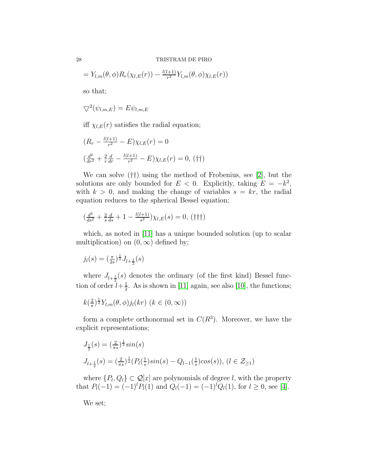$$
= Y_{l,m}(\theta,\phi)R_r(\chi_{l,E}(r)) - \frac{l(l+1)}{r^2}Y_{l,m}(\theta,\phi)\chi_{l,E}(r))
$$

so that;

$$
\nabla^2(\psi_{l,m,E}) = E \psi_{l,m,E}
$$

iff  $\chi_{l,E}(r)$  satisfies the radial equation;

$$
(R_r - \frac{l(l+1)}{r^2} - E)\chi_{l,E}(r) = 0
$$
  

$$
(\frac{d^2}{dr^2} + \frac{2}{r}\frac{d}{dr} - \frac{l(l+1)}{r^2} - E)\chi_{l,E}(r) = 0, \text{ (†\dagger)}
$$

We can solve (††) using the method of Frobenius, see [\[2\]](#page-37-10), but the solutions are only bounded for  $E < 0$ . Explicitly, taking  $E = -k^2$ , with  $k > 0$ , and making the change of variables  $s = kr$ , the radial equation reduces to the spherical Bessel equation;

$$
\left(\frac{d^2}{ds^2} + \frac{2}{s}\frac{d}{ds} + 1 - \frac{l(l+1)}{s^2}\right)\chi_{l,E}(s) = 0, \, (\dagger \dagger \dagger)
$$

which, as noted in [\[11\]](#page-37-9) has a unique bounded solution (up to scalar multiplication) on  $(0, \infty)$  defined by;

$$
j_l(s) = \left(\frac{\pi}{2s}\right)^{\frac{1}{2}} J_{l+\frac{1}{2}}(s)
$$

where  $J_{l+\frac{1}{2}}(s)$  denotes the ordinary (of the first kind) Bessel function of order  $l+\frac{1}{2}$  $\frac{1}{2}$ . As is shown in [\[11\]](#page-37-9) again, see also [\[10\]](#page-37-11), the functions;

$$
k(\frac{2}{\pi})^{\frac{1}{2}}Y_{l,m}(\theta,\phi)j_l(kr) \ (k \in (0,\infty))
$$

form a complete orthonormal set in  $C(R^3)$ . Moreover, we have the explicit representations;

$$
J_{\frac{1}{2}}(s) = \left(\frac{2}{\pi s}\right)^{\frac{1}{2}} \sin(s)
$$
  

$$
J_{l+\frac{1}{2}}(s) = \left(\frac{2}{\pi s}\right)^{\frac{1}{2}} \left(P_l\left(\frac{1}{s}\right) \sin(s) - Q_{l-1}\left(\frac{1}{s}\right) \cos(s)\right), \ (l \in \mathcal{Z}_{\geq 1})
$$

where  $\{P_l, Q_l\} \subset \mathcal{Q}[x]$  are polynomials of degree l, with the property that  $P_l(-1) = (-1)^l P_l(1)$  and  $Q_l(-1) = (-1)^l Q_l(1)$ , for  $l \geq 0$ , see [\[4\]](#page-37-12).

We set;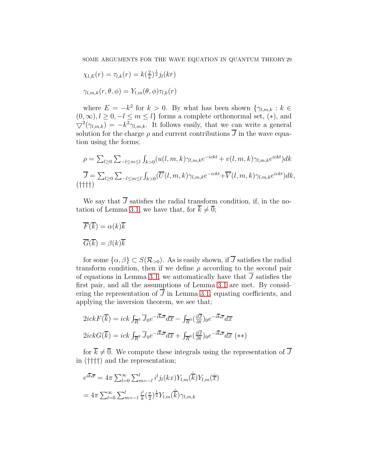$$
\chi_{l,E}(r) = \tau_{l,k}(r) = k(\frac{2}{\pi})^{\frac{1}{2}} j_l(kr)
$$

$$
\gamma_{l,m,k}(r,\theta,\phi) = Y_{l,m}(\theta,\phi)\tau_{l,k}(r)
$$

where  $E = -k^2$  for  $k > 0$ . By what has been shown  $\{\gamma_{l,m,k} : k \in$  $(0, \infty), l \geq 0, -l \leq m \leq l$  forms a complete orthonormal set,  $(*)$ , and  $\nabla^2(\gamma_{l,m,k}) = -k^2 \gamma_{l,m,k}$ . It follows easily, that we can write a general solution for the charge  $\rho$  and current contributions  $\overline{J}$  in the wave equation using the forms;

$$
\rho = \sum_{l\geq 0} \sum_{-l\leq m\leq l} \int_{k>0} (u(l,m,k)\gamma_{l,m,k}e^{-ickt} + v(l,m,k)\gamma_{l,m,k}e^{ickt})dk
$$
  

$$
\overline{J} = \sum_{l\geq 0} \sum_{-l\leq m\leq l} \int_{k>0} (\overline{U}(l,m,k)\gamma_{l,m,k}e^{-ickt} + \overline{V}(l,m,k)\gamma_{l,m,k}e^{ickt})dk,
$$
  
(iii)

We say that  $\overline{J}$  satisfies the radial transform condition, if, in the no-tation of Lemma [3.1,](#page-23-0) we have that, for  $\overline{k} \neq \overline{0}$ ;

$$
\overline{F}(\overline{k}) = \alpha(k)\overline{k}
$$

$$
\overline{G}(\overline{k}) = \beta(k)\overline{k}
$$

for some  $\{\alpha, \beta\} \subset S(\mathcal{R}_{>0})$ . As is easily shown, if  $\overline{J}$  satisfies the radial transform condition, then if we define  $\rho$  according to the second pair of equations in Lemma [3.1,](#page-23-0) we automatically have that  $\overline{J}$  satisfies the first pair, and all the assumptions of Lemma [3.1](#page-23-0) are met. By considering the representation of  $\overline{J}$  in Lemma [3.1,](#page-23-0) equating coefficients, and applying the inversion theorem, we see that;

$$
2ickF(\overline{k}) = ick \int_{\overline{R}^3} \overline{J}_0 e^{-i\overline{k} \cdot \overline{x}} d\overline{x} - \int_{\overline{R}^3} (\frac{\partial \overline{J}}{\partial t})_0 e^{-i\overline{k} \cdot \overline{x}} d\overline{x}
$$
  

$$
2ickG(\overline{k}) = ick \int_{\overline{R}^3} \overline{J}_0 e^{-i\overline{k} \cdot \overline{x}} d\overline{x} + \int_{\overline{R}^3} (\frac{\partial \overline{J}}{\partial t})_0 e^{-i\overline{k} \cdot \overline{x}} d\overline{x} \quad (**)
$$

for  $\overline{k} \neq \overline{0}$ . We compute these integrals using the representation of  $\overline{J}$ in (††††) and the representation;

$$
e^{i\overline{k}.\overline{x}} = 4\pi \sum_{l=0}^{\infty} \sum_{m=-l}^{l} i^{l} j_{l}(kx) Y_{l,m}(\hat{\overline{k}}) Y_{l,m}(\hat{\overline{x}})
$$

$$
= 4\pi \sum_{l=0}^{\infty} \sum_{m=-l}^{l} \frac{i^{l}}{k} (\frac{\pi}{2})^{\frac{1}{2}} Y_{l,m}(\hat{\overline{k}}) \gamma_{l,m,k}
$$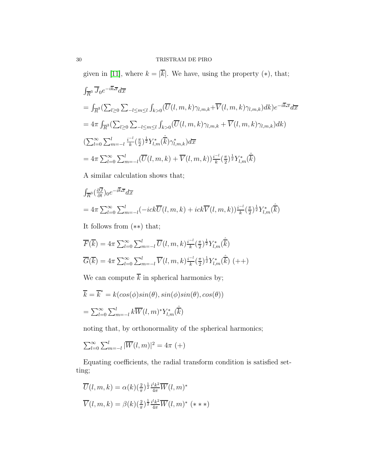given in [\[11\]](#page-37-9), where  $k = |\overline{k}|$ . We have, using the property (\*), that;

$$
\int_{\overline{R}^3} \overline{J}_0 e^{-i\overline{k} \cdot \overline{x}} d\overline{x}
$$
\n
$$
= \int_{\overline{R}^3} \left( \sum_{l \ge 0} \sum_{-l \le m \le l} \int_{k>0} (\overline{U}(l, m, k) \gamma_{l, m, k} + \overline{V}(l, m, k) \gamma_{l, m, k}) dk \right) e^{-i\overline{k} \cdot \overline{x}} d\overline{x}
$$
\n
$$
= 4\pi \int_{\overline{R}^3} \left( \sum_{l \ge 0} \sum_{-l \le m \le l} \int_{k>0} (\overline{U}(l, m, k) \gamma_{l, m, k} + \overline{V}(l, m, k) \gamma_{l, m, k}) dk \right)
$$
\n
$$
\left( \sum_{l=0}^{\infty} \sum_{m=-l}^{l} \frac{i^{-l}}{k} \left( \frac{\pi}{2} \right)^{\frac{1}{2}} Y_{l, m}^*(\hat{k}) \gamma_{l, m, k}^* \right) d\overline{x}
$$
\n
$$
= 4\pi \sum_{l=0}^{\infty} \sum_{m=-l}^{l} (\overline{U}(l, m, k) + \overline{V}(l, m, k)) \frac{i^{-l}}{k} \left( \frac{\pi}{2} \right)^{\frac{1}{2}} Y_{l, m}^*(\hat{k})
$$

A similar calculation shows that;

$$
\int_{\overline{R}^3} (\frac{\partial \overline{J}}{\partial t})_0 e^{-i\overline{k} \cdot \overline{x}} d\overline{x}
$$
\n
$$
= 4\pi \sum_{l=0}^{\infty} \sum_{m=-l}^{l} (-ick\overline{U}(l, m, k) + ick\overline{V}(l, m, k)) \frac{i^{-l}}{k} (\frac{\pi}{2})^{\frac{1}{2}} Y_{l,m}^*(\hat{k})
$$

It follows from (∗∗) that;

$$
\overline{F}(\overline{k}) = 4\pi \sum_{l=0}^{\infty} \sum_{m=-l}^{l} \overline{U}(l, m, k) \frac{i^{-l}}{k} \left(\frac{\pi}{2}\right)^{\frac{1}{2}} Y_{l, m}^{*}(\hat{\overline{k}})
$$

$$
\overline{G}(\overline{k}) = 4\pi \sum_{l=0}^{\infty} \sum_{m=-l}^{l} \overline{V}(l, m, k) \frac{i^{-l}}{k} \left(\frac{\pi}{2}\right)^{\frac{1}{2}} Y_{l, m}^{*}(\hat{\overline{k}}) \left(+\right)
$$

We can compute  $\overline{k}$  in spherical harmonics by;

$$
\overline{k} = \overline{k}^* = k(cos(\phi)sin(\theta), sin(\phi)sin(\theta), cos(\theta))
$$

$$
= \sum_{l=0}^{\infty} \sum_{m=-l}^{l} k \overline{W}(l, m)^* Y_{l,m}^*(\hat{k})
$$

noting that, by orthonormality of the spherical harmonics;

$$
\sum_{l=0}^{\infty} \sum_{m=-l}^{l} |\overline{W}(l,m)|^2 = 4\pi (+)
$$

Equating coefficients, the radial transform condition is satisfied setting;

$$
\overline{U}(l, m, k) = \alpha(k) \left(\frac{2}{\pi}\right)^{\frac{1}{2}} \frac{i^l k^2}{4\pi} \overline{W}(l, m)^*
$$
  

$$
\overline{V}(l, m, k) = \beta(k) \left(\frac{2}{\pi}\right)^{\frac{1}{2}} \frac{i^l k^2}{4\pi} \overline{W}(l, m)^* \quad (* * *)
$$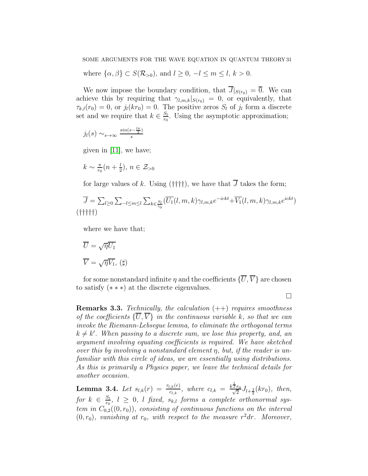where  $\{\alpha, \beta\} \subset S(\mathcal{R}_{>0}),$  and  $l \geq 0, -l \leq m \leq l, k > 0.$ 

We now impose the boundary condition, that  $\overline{J}|_{S(r_0)} = \overline{0}$ . We can achieve this by requiring that  $\gamma_{l,m,k}|_{S(r_0)} = 0$ , or equivalently, that  $\tau_{k,l}(r_0) = 0$ , or  $j_l(kr_0) = 0$ . The positive zeros  $S_l$  of  $j_l$  form a discrete set and we require that  $k \in \frac{S_l}{r_0}$  $\frac{S_l}{r_0}$ . Using the asymptotic approximation;

$$
j_l(s) \sim_{s \to \infty} \frac{\sin(s - \frac{l\pi}{2})}{s}
$$

given in [\[11\]](#page-37-9), we have;

$$
k \sim \frac{\pi}{r_0}(n + \frac{l}{2}), n \in \mathcal{Z}_{>0}
$$

for large values of k. Using (††††), we have that  $\overline{J}$  takes the form;

$$
\overline{J} = \sum_{l \geq 0} \sum_{l \leq m \leq l} \sum_{k \in \frac{S_l}{r_0}} (\overline{U_1}(l, m, k) \gamma_{l, m, k} e^{-ickt} + \overline{V_1}(l, m, k) \gamma_{l, m, k} e^{ickt})
$$
\n
$$
(\dagger \dagger \dagger \dagger \dagger)
$$

where we have that;

$$
\overline{U} = \sqrt{\eta} \overline{U_1}
$$

$$
\overline{V} = \sqrt{\eta} \overline{V_1}, (\sharp)
$$

for some nonstandard infinite  $\eta$  and the coefficients  $\{\overline{U},\overline{V}\}$  are chosen to satisfy (∗ ∗ ∗) at the discrete eigenvalues.

 $\Box$ 

**Remarks 3.3.** Technically, the calculation  $(++)$  requires smoothness of the coefficients  $\{\overline{U},\overline{V}\}\$ in the continuous variable k, so that we can invoke the Riemann-Lebsegue lemma, to eliminate the orthogonal terms  $k \neq k'$ . When passing to a discrete sum, we lose this property, and, and argument involving equating coefficients is required. We have sketched over this by involving a nonstandard element  $\eta$ , but, if the reader is unfamiliar with this circle of ideas, we are essentially using distributions. As this is primarily a Physics paper, we leave the technical details for another occasion.

<span id="page-30-0"></span>**Lemma 3.4.** Let  $s_{l,k}(r) = \frac{\tau_{l,k}(r)}{c_{l,k}},$  where  $c_{l,k} = \frac{k^{\frac{1}{2}}}{\sqrt{k}}$  $\frac{2 r_0}{\sqrt{2}}$  $\frac{r_0}{2}J_{l+\frac{3}{2}}(kr_0), \text{ then,}$ for  $k \in \frac{S_l}{r_0}$  $\frac{S_l}{r_0}, l \geq 0, l$  fixed,  $s_{k,l}$  forms a complete orthonormal system in  $C_{0,2}((0,r_0))$ , consisting of continuous functions on the interval  $(0, r_0)$ , vanishing at  $r_0$ , with respect to the measure  $r^2dr$ . Moreover,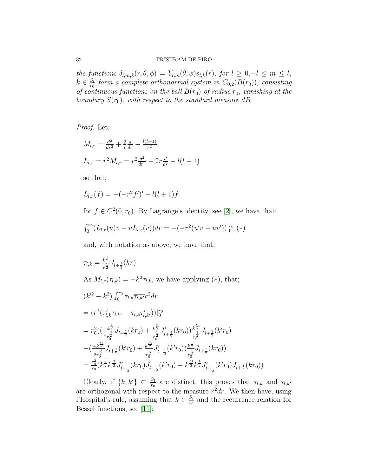the functions  $\delta_{l,m,k}(r,\theta,\phi) = Y_{l,m}(\theta,\phi) s_{l,k}(r)$ , for  $l \geq 0, -l \leq m \leq l$ ,  $k \in \frac{S_l}{r_0}$  $\frac{S_l}{r_0}$  form a complete orthonormal system in  $C_{0,2}(B(r_0))$ , consisting of continuous functions on the ball  $B(r_0)$  of radius  $r_0$ , vanishing at the boundary  $S(r_0)$ , with respect to the standard measure dB.

Proof. Let;

$$
M_{l,r} = \frac{d^2}{dr^2} + \frac{2}{r}\frac{d}{dr} - \frac{l(l+1)}{r^2}
$$
  

$$
L_{l,r} = r^2 M_{l,r} = r^2 \frac{d^2}{dr^2} + 2r \frac{d}{dr} - l(l+1)
$$

so that;

$$
L_{l,r}(f) = -(-r^2 f')' - l(l+1)f
$$

for  $f \in C^2(0, r_0)$ . By Lagrange's identity, see [\[2\]](#page-37-10), we have that;

$$
\int_0^{r_0} (L_{l,r}(u)v - uL_{l,r}(v))dr = -(-r^2(u'v - uv'))|_0^{r_0} (*)
$$

and, with notation as above, we have that;

$$
\tau_{l,k} = \frac{k^{\frac{1}{2}}}{r^{\frac{1}{2}}} J_{l+\frac{1}{2}}(kr)
$$
  
As  $M_{l,r}(\tau_{l,k}) = -k^2 \tau_{l,k}$ , we have applying (\*), that;  

$$
(k'^2 - k^2) \int_0^{r_0} \tau_{l,k} \overline{\tau_{l,k'}} r^2 dr
$$

$$
= (r^2 (\tau'_{l,k} \tau_{l,k'} - \tau_{l,k} \tau'_{l,k'}))|_0^{r_0}
$$

$$
= r_0^2 ((\frac{k^{\frac{1}{2}}}{2r_0^{\frac{3}{2}}} J_{l+\frac{1}{2}}(kr_0) + \frac{k^{\frac{3}{2}}}{r_0^{\frac{3}{2}}} J'_{l+\frac{1}{2}}(kr_0)) \frac{k^{\frac{1}{2}}}{r_0^{\frac{1}{2}}} J_{l+\frac{1}{2}}(k'r_0)
$$

$$
- (\frac{-k^{\frac{1}{2}}}{2r_0^{\frac{3}{2}}} J_{l+\frac{1}{2}}(k'r_0) + \frac{k^{\frac{2}{2}}}{r_0^{\frac{1}{2}}} J'_{l+\frac{1}{2}}(k'r_0)) \frac{k^{\frac{1}{2}}}{r_0^{\frac{1}{2}}} J_{l+\frac{1}{2}}(kr_0))
$$

$$
= \frac{r_0^2}{r_0} (k^{\frac{3}{2}} k^{\frac{r_1}{2}} J'_{l+\frac{1}{2}}(kr_0) J_{l+\frac{1}{2}}(k'r_0) - k^{\frac{r_3}{2}} k^{\frac{1}{2}} J'_{l+\frac{1}{2}}(k'r_0) J_{l+\frac{1}{2}}(kr_0))
$$

Clearly, if  $\{k, k'\} \subset \frac{S_l}{r_0}$  are distinct, this proves that  $\tau_{l,k}$  and  $\tau_{l,k'}$ are orthogonal with respect to the measure  $r^2dr$ . We then have, using l'Hospital's rule, assuming that  $k \in \frac{S_l}{r_0}$  $\frac{S_l}{r_0}$  and the recurrence relation for Bessel functions, see [\[11\]](#page-37-9);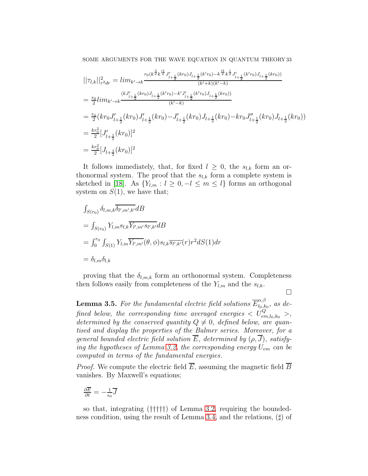SOME ARGUMENTS FOR THE WAVE EQUATION IN QUANTUM THEORY 33

$$
\begin{split}\n&||\tau_{l,k}||_{r^2dr}^2 = lim_{k'\to k} \frac{r_0(k^{\frac{3}{2}}k^{\frac{t_1}{2}}J'_{l+\frac{1}{2}}(kr_0)J_{l+\frac{1}{2}}(k'r_0) - k^{\frac{t_3}{2}}k^{\frac{1}{2}}J'_{l+\frac{1}{2}}(k'r_0)J_{l+\frac{1}{2}}(kr_0))}{(k'+k)(k'-k)} \\
&= \frac{r_0}{2} lim_{k'\to k} \frac{(kJ'_{l+\frac{1}{2}}(kr_0)J_{l+\frac{1}{2}}(k'r_0) - k'J'_{l+\frac{1}{2}}(k'r_0)J_{l+\frac{1}{2}}(kr_0))}{(k'-k)} \\
&= \frac{r_0}{2} (kr_0J'_{l+\frac{1}{2}}(kr_0)J'_{l+\frac{1}{2}}(kr_0) - J'_{l+\frac{1}{2}}(kr_0)J_{l+\frac{1}{2}}(kr_0) - kr_0J''_{l+\frac{1}{2}}(kr_0)J_{l+\frac{1}{2}}(kr_0)) \\
&= \frac{kr_0^2}{2} [J'_{l+\frac{1}{2}}(kr_0)]^2 \\
&= \frac{kr_0^2}{2} [J_{l+\frac{3}{2}}(kr_0)]^2\n\end{split}
$$

It follows immediately, that, for fixed  $l \geq 0$ , the  $s_{l,k}$  form an orthonormal system. The proof that the  $s_{l,k}$  form a complete system is sketched in [\[18\]](#page-38-2). As  ${Y_{l,m} : l \ge 0, -l \le m \le l}$  forms an orthogonal system on  $S(1)$ , we have that;

$$
\int_{S(r_0)} \delta_{l,m,k} \overline{\delta_{l',m',k'}} dB
$$
\n
$$
= \int_{S(r_0)} Y_{l,m} s_{l,k} \overline{Y_{l',m'} s_{l',k'}} dB
$$
\n
$$
= \int_0^{r_0} \int_{S(1)} Y_{l,m} \overline{Y_{l',m'}} (\theta, \phi) s_{l,k} \overline{s_{l',k'}} (r) r^2 dS(1) dr
$$
\n
$$
= \delta_{l,m} \delta_{l,k}
$$

proving that the  $\delta_{l,m,k}$  form an orthonormal system. Completeness then follows easily from completeness of the  $Y_{l,m}$  and the  $s_{l,k}$ .

 $\Box$ 

<span id="page-32-0"></span>**Lemma 3.5.** For the fundamental electric field solutions  $\overline{E}_{l_0,k}^{\alpha,\beta}$  $\frac{a}{a}$ <sub>0</sub>, $k_0$ , as de- $\emph{fined below, the corresponding time averaged energies} < U_{em,l_0,k_0}^Q> ,$ determined by the conserved quantity  $Q \neq 0$ , defined below, are quantised and display the properties of the Balmer series. Moreover, for a general bounded electric field solution  $\overline{E}$ , determined by  $(\rho, \overline{J})$ , satisfy-ing the hypotheses of Lemma [3.2,](#page-26-0) the corresponding energy  $U_{em}$  can be computed in terms of the fundamental energies.

*Proof.* We compute the electric field  $\overline{E}$ , assuming the magnetic field  $\overline{B}$ vanishes. By Maxwell's equations;

$$
\tfrac{\partial \overline{E}}{\partial t} = -\tfrac{1}{\epsilon_0} \overline{J}
$$

so that, integrating (†††††) of Lemma [3.2,](#page-26-0) requiring the boundedness condition, using the result of Lemma [3.4,](#page-30-0) and the relations, (♯) of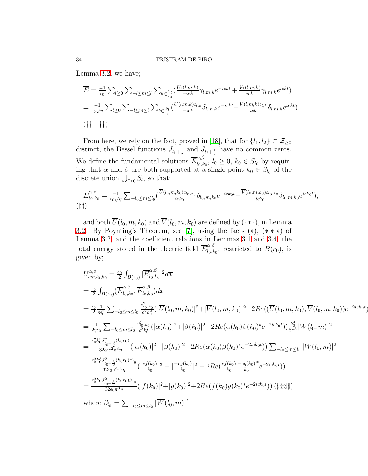Lemma [3.2,](#page-26-0) we have;

$$
\overline{E} = \frac{-1}{\epsilon_0} \sum_{l \ge 0} \sum_{l \le m \le l} \sum_{k \in \frac{S_l}{r_0}} \left( \frac{\overline{U_1}(l,m,k)}{-ick} \gamma_{l,m,k} e^{-ickt} + \frac{\overline{V_1}(l,m,k)}{ick} \gamma_{l,m,k} e^{ickt} \right)
$$
\n
$$
= \frac{-1}{\epsilon_0 \sqrt{\eta}} \sum_{l \ge 0} \sum_{l \le m \le l} \sum_{k \in \frac{S_l}{r_0}} \left( \frac{\overline{U}(l,m,k)c_{l,k}}{-ick} \delta_{l,m,k} e^{-ickt} + \frac{\overline{V}(l,m,k)c_{l,k}}{ick} \delta_{l,m,k} e^{ickt} \right)
$$
\n(Hint)

From here, we rely on the fact, proved in [\[18\]](#page-38-2), that for  $\{l_1, l_2\} \subset \mathcal{Z}_{\geq 0}$ distinct, the Bessel functions  $J_{l_1+\frac{1}{2}}$  and  $J_{l_2+\frac{1}{2}}$  have no common zeros. We define the fundamental solutions  $\overline{E}_{l_0,k}^{\alpha,\beta}$  $l_{0,k_{0}}, l_{0} \geq 0, k_{0} \in S_{l_{0}}$  by requiring that  $\alpha$  and  $\beta$  are both supported at a single point  $k_0 \in S_{l_0}$  of the discrete union  $\bigcup_{l\geq 0} S_l$ , so that;

$$
\overline{E}_{l_0,k_0}^{\alpha,\beta} = \frac{-1}{\epsilon_0 \sqrt{\eta}} \sum_{-l_0 \le m \le l_0} \left( \frac{\overline{U}(l_0, m, k_0) c_{l_0, k_0}}{-ick_0} \delta_{l_0, m, k_0} e^{-ick_0 t} + \frac{\overline{V}(l_0, m, k_0) c_{l_0, k_0}}{ick_0} \delta_{l_0, m, k_0} e^{ick_0 t} \right),
$$
\n
$$
(\sharp \sharp)
$$

and both  $\overline{U}(l_0, m, k_0)$  and  $\overline{V}(l_0, m, k_0)$  are defined by (\*\*\*), in Lemma [3.2.](#page-26-0) By Poynting's Theorem, see [\[7\]](#page-37-0), using the facts  $(*), (**)$  of Lemma [3.2,](#page-26-0) and the coefficient relations in Lemmas [3.1](#page-23-0) and [3.4,](#page-30-0) the total energy stored in the electric field  $\overline{E}_{l_0,k}^{\alpha,\beta}$  $\mu_{0,k_0}$ , restricted to  $B(r_0)$ , is given by;

$$
U_{em,l_0,k_0}^{\alpha,\beta} = \frac{\epsilon_0}{2} \int_{B(r_0)} |\overline{E}_{l_0,k_0}^{\alpha,\beta}|^2 d\overline{x}
$$
  
\n
$$
= \frac{\epsilon_0}{2} \int_{B(r_0)} (\overline{E}_{l_0,k_0}^{\alpha,\beta}, \overline{E}_{l_0,k_0}^{\alpha,\beta}) d\overline{x}
$$
  
\n
$$
= \frac{\epsilon_0}{2} \frac{1}{\eta \epsilon_0^2} \sum_{-l_0 \le m \le l_0} \frac{c_{l_0,k_0}^2}{c^2 k_0^2} (|\overline{U}(l_0, m, k_0)|^2 + |\overline{V}(l_0, m, k_0)|^2 - 2Re((\overline{U}(l_0, m, k_0), \overline{V}(l_0, m, k_0))e^{-2ick_0t})
$$
  
\n
$$
= \frac{1}{2\eta \epsilon_0} \sum_{-l_0 \le m \le l_0} \frac{c_{l_0,k_0}^2}{c^2 k_0^2} (|\alpha(k_0)|^2 + |\beta(k_0)|^2 - 2Re(\alpha(k_0)\beta(k_0)^*e^{-2ick_0t})) \frac{k_0^4}{8\pi^3} |\overline{W}(l_0, m)|^2
$$
  
\n
$$
= \frac{r_0^2 k_0^3 J_{l_0+\frac{3}{2}}^2 (k_0 r_0)}{32\epsilon_0 c^2 \pi^3 \eta} (|\alpha(k_0)|^2 + |\beta(k_0)|^2 - 2Re(\alpha(k_0)\beta(k_0)^*e^{-2ick_0t})) \sum_{-l_0 \le m \le l_0} |\overline{W}(l_0, m)|^2
$$
  
\n
$$
= \frac{r_0^2 k_0^3 J_{l_0+\frac{3}{2}}^2 (k_0 r_0) \beta_{l_0}}{32\epsilon_0 c^2 \pi^3 \eta} (|\frac{cf(k_0)}{k_0}|^2 + |\frac{-cg(k_0)}{k_0}|^2 - 2Re(\frac{cf(k_0)}{k_0} - \frac{cg(k_0)^*}{k_0}e^{-2ick_0t}))
$$
  
\n
$$
= \frac{r_0^2 k_0 J_{l_0+\frac{3}{2}}^2 (k_0 r_0) \beta_{l
$$

))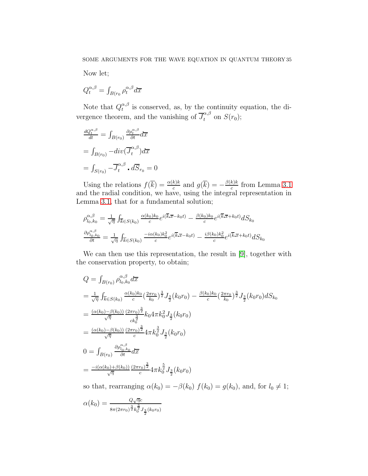Now let;

$$
Q^{\alpha,\beta}_t = \int_{B(r_0} \rho_t^{\alpha,\beta} d\overline{x}
$$

Note that  $Q_t^{\alpha,\beta}$  $\alpha, \beta$  is conserved, as, by the continuity equation, the divergence theorem, and the vanishing of  $\overline{J}_t^{\alpha,\beta}$  on  $S(r_0)$ ;

$$
\frac{dQ_t^{\alpha,\beta}}{dt} = \int_{B(r_0)} \frac{\partial \rho_t^{\alpha,\beta}}{\partial t} d\overline{x}
$$

$$
= \int_{B(r_0)} -div(\overline{J}_t^{\alpha,\beta}) d\overline{x}
$$

$$
= \int_{S(r_0)} -\overline{J}_t^{\alpha,\beta} \cdot d\overline{S}_{r_0} = 0
$$

Using the relations  $f(\overline{k}) = \frac{\alpha(k)k}{c}$  and  $g(\overline{k}) = -\frac{\beta(k)k}{c}$  $\frac{k}{c}$  from Lemma [3.1](#page-23-0) and the radial condition, we have, using the integral representation in Lemma [3.1,](#page-23-0) that for a fundamental solution;

$$
\rho_{l_0,k_0}^{\alpha,\beta} = \frac{1}{\sqrt{\eta}} \int_{\overline{k} \in S(k_0)} \frac{\alpha(k_0)k_0}{c} e^{i(\overline{k} \cdot \overline{x} - k_0 t)} - \frac{\beta(k_0)k_0}{c} e^{i(\overline{k} \cdot \overline{x} + k_0 t)} dS_{k_0}
$$

$$
\frac{\partial \rho_{l_0,k_0}^{\alpha,\beta}}{\partial t} = \frac{1}{\sqrt{\eta}} \int_{\overline{k} \in S(k_0)} \frac{-i\alpha(k_0)k_0^2}{c} e^{i(\overline{k} \cdot \overline{x} - k_0 t)} - \frac{i\beta(k_0)k_0^2}{c} e^{i(\overline{k} \cdot \overline{x} + k_0 t)} dS_{k_0}
$$

We can then use this representation, the result in [\[9\]](#page-37-13), together with the conservation property, to obtain;

$$
Q = \int_{B(r_0)} \rho_{l_0, k_0}^{\alpha, \beta} d\overline{x}
$$
  
\n
$$
= \frac{1}{\sqrt{\eta}} \int_{\overline{k} \in S(k_0)} \frac{\alpha(k_0)k_0}{c} \left(\frac{2\pi r_0}{k_0}\right)^{\frac{3}{2}} J_{\frac{3}{2}}(k_0 r_0) - \frac{\beta(k_0)k_0}{c} \left(\frac{2\pi r_0}{k_0}\right)^{\frac{3}{2}} J_{\frac{3}{2}}(k_0 r_0) dS_{k_0}
$$
  
\n
$$
= \frac{(\alpha(k_0) - \beta(k_0))}{\sqrt{\eta}} \frac{(2\pi r_0)^{\frac{3}{2}}}{ck_0^{\frac{3}{2}}} k_0 4 \pi k_0^2 J_{\frac{3}{2}}(k_0 r_0)
$$
  
\n
$$
= \frac{(\alpha(k_0) - \beta(k_0))}{\sqrt{\eta}} \frac{(2\pi r_0)^{\frac{3}{2}}}{c} 4 \pi k_0^{\frac{3}{2}} J_{\frac{3}{2}}(k_0 r_0)
$$
  
\n
$$
0 = \int_{B(r_0)} \frac{\partial \rho_{l_0, k_0}^{\alpha, \beta}}{\partial t} d\overline{x}
$$
  
\n
$$
= \frac{-i(\alpha(k_0) + \beta(k_0))}{\sqrt{\eta}} \frac{(2\pi r_0)^{\frac{3}{2}}}{c} 4 \pi k_0^{\frac{5}{2}} J_{\frac{3}{2}}(k_0 r_0)
$$

so that, rearranging  $\alpha(k_0) = -\beta(k_0) f(k_0) = g(k_0)$ , and, for  $l_0 \neq 1$ ;

$$
\alpha(k_0) = \frac{Q\sqrt{\eta}c}{8\pi(2\pi r_0)^{\frac{3}{2}}k_0^{\frac{3}{2}}J_{\frac{3}{2}}(k_0r_0)}
$$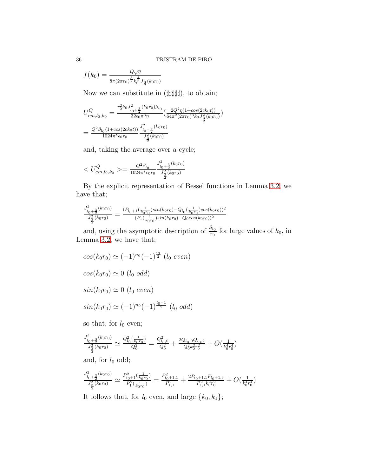$$
f(k_0) = \frac{Q\sqrt{\eta}}{8\pi(2\pi r_0)^{\frac{3}{2}}k_0^{\frac{1}{2}}J_{\frac{3}{2}}(k_0r_0)}
$$

Now we can substitute in (####), to obtain;

$$
U_{em,l_0,k_0}^{Q} = \frac{r_0^2 k_0 J_{l_0 + \frac{3}{2}}^2 (k_0 r_0) \beta_{l_0}}{32 \epsilon_0 \pi^3 \eta} \left( \frac{2Q^2 \eta (1 + \cos(2ck_0 t))}{64 \pi^2 (2\pi r_0)^3 k_0 J_{\frac{3}{2}}^2 (k_0 r_0)} \right)
$$
  
= 
$$
\frac{Q^2 \beta_{l_0} (1 + \cos(2ck_0 t))}{1024 \pi^8 \epsilon_0 r_0} \frac{J_{l_0 + \frac{3}{2}}^2 (k_0 r_0)}{J_{\frac{3}{2}}^2 (k_0 r_0)}
$$

and, taking the average over a cycle;

$$
= \tfrac{Q^2 \beta_{l_0}}{1024 \pi^8 \epsilon_0 r_0} \tfrac{J_{l_0+\frac{3}{2}}^2(k_0 r_0)}{J_{\frac{3}{2}}^2(k_0 r_0)}
$$

By the explicit representation of Bessel functions in Lemma [3.2,](#page-26-0) we have that;

$$
\frac{J_{l_0+\frac{3}{2}}^2(k_0r_0)}{J_{\frac{3}{2}}^2(k_0r_0)} = \frac{(P_{l_0+1}(\frac{1}{k_0r_0})sin(k_0r_0) - Q_{l_0}(\frac{1}{k_0r_0})cos(k_0r_0))^2}{(P_1(\frac{1}{k_0r_0})sin(k_0r_0) - Q_0cos(k_0r_0))^2}
$$

and, using the asymptotic description of  $\frac{S_{l_0}}{r_0}$  for large values of  $k_0$ , in Lemma [3.2,](#page-26-0) we have that;

$$
cos(k_0r_0) \simeq (-1)^{n_0} (-1)^{\frac{l_0}{2}} (l_0 \text{ even})
$$
  

$$
cos(k_0r_0) \simeq 0 (l_0 \text{ odd})
$$
  

$$
sin(k_0r_0) \simeq 0 (l_0 \text{ even})
$$
  

$$
sin(k_0r_0) \simeq (-1)^{n_0} (-1)^{\frac{l_0-1}{2}} (l_0 \text{ odd})
$$

so that, for  $l_0$  even;

$$
\frac{J_{l_0+\frac{3}{2}}^2(k_0r_0)}{J_{\frac{3}{2}}^2(k_0r_0)} \simeq \frac{Q_{l_0}^2(\frac{1}{k_0r_0})}{Q_0^2} = \frac{Q_{l_0,0}^2}{Q_0^2} + \frac{2Q_{l_0,0}Q_{l_0,2}}{Q_0^2k_0^2r_0^2} + O(\frac{1}{k_0^4r_0^4})
$$

and, for  $l_0$  odd;

$$
\frac{J_{l_0+\frac{3}{2}}^2(k_0r_0)}{J_{\frac{3}{2}}^2(k_0r_0)} \simeq \frac{P_{l_0+1}^2(\frac{1}{k_0r_0})}{P_1^2(\frac{1}{k_0r_0})} = \frac{P_{l_0+1,1}^2}{P_{1,1}^2} + \frac{2P_{l_0+1,1}P_{l_0+1,3}}{P_{1,1}^2k_0^2r_0^2} + O(\frac{1}{k_0^4r_0^4})
$$

It follows that, for  $l_0$  even, and large  $\{k_0,k_1\};$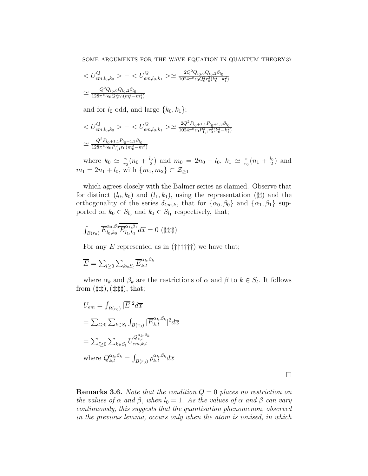$$
\begin{aligned} &< U_{em,l_0,k_0}^Q > - < U_{em,l_0,k_1}^Q > \simeq \frac{2Q^2Q_{l_0,0}Q_{l_0,2}\beta_{l_0}}{1024\pi^8\epsilon_0Q_0^2r_0^3(k_0^2-k_1^2)} \\ &\simeq \frac{Q^2Q_{l_0,0}Q_{l_0,2}\beta_{l_0}}{128\pi^{10}\epsilon_0Q_0^2r_0(m_0^2-m_1^2)} \end{aligned}
$$

and for  $l_0$  odd, and large  $\{k_0, k_1\}$ ;

$$
\begin{aligned} &< U_{em,l_0,k_0}^Q > - < U_{em,l_0,k_1}^Q > \simeq \frac{2Q^2 P_{l_0+1,1} P_{l_0+1,3} \beta_{l_0}}{1024 \pi^8 \epsilon_0 P_{1,1}^2 r_0^3 (k_0^2 - k_1^2)} \\ &< \frac{Q^2 P_{l_0+1,1} P_{l_0+1,3} \beta_{l_0}}{128 \pi^{10} \epsilon_0 P_{1,1}^2 r_0 (m_0^2 - m_1^2)} \end{aligned}
$$

where  $k_0 \simeq \frac{\pi}{r_0}$  $\frac{\pi}{r_0}(n_0 + \frac{l_0}{2})$  $\frac{l_0}{2}$ ) and  $m_0 = 2n_0 + l_0$ ,  $k_1 \simeq \frac{\pi}{r_0}$  $\frac{\pi}{r_0}(n_1 + \frac{l_0}{2})$  $\frac{\ell_0}{2}$  and  $m_1 = 2n_1 + l_0$ , with  $\{m_1, m_2\} \subset \mathcal{Z}_{\geq 1}$ 

which agrees closely with the Balmer series as claimed. Observe that for distinct  $(l_0, k_0)$  and  $(l_1, k_1)$ , using the representation  $(\sharp \sharp)$  and the orthogonality of the series  $\delta_{l,m,k}$ , that for  $\{\alpha_0,\beta_0\}$  and  $\{\alpha_1,\beta_1\}$  supported on  $k_0 \in S_{l_0}$  and  $k_1 \in S_{l_1}$  respectively, that;

$$
\int_{B(r_0)} \overline{E}_{l_0,k_0}^{\alpha_0,\beta_0} \overline{\overline{E}_{l_1,k_1}^{\alpha_1,\beta_1}} d\overline{x} = 0 \ (\sharp\sharp\sharp\sharp)
$$

For any  $\overline{E}$  represented as in (††††††) we have that;

$$
\overline{E} = \sum_{l \geq 0} \sum_{k \in S_l} \overline{E}_{k,l}^{\alpha_k, \beta_k}
$$

where  $\alpha_k$  and  $\beta_k$  are the restrictions of  $\alpha$  and  $\beta$  to  $k \in S_l$ . It follows  $from (sharp), (sharp)$ , that;

$$
U_{em} = \int_{B(r_0)} |\overline{E}|^2 d\overline{x}
$$
  
=  $\sum_{l \ge 0} \sum_{k \in S_l} \int_{B(r_0)} |\overline{E}_{k,l}^{\alpha_k, \beta_k}|^2 d\overline{x}$   
=  $\sum_{l \ge 0} \sum_{k \in S_l} U_{em,k,l}^{Q_{k,l}^{\alpha_k, \beta_k}}$   
where  $Q_{k,l}^{\alpha_k, \beta_k} = \int_{B(r_0)} \rho_{k,l}^{\alpha_k, \beta_k} d\overline{x}$ 

 $\Box$ 

**Remarks 3.6.** Note that the condition  $Q = 0$  places no restriction on the values of  $\alpha$  and  $\beta$ , when  $l_0 = 1$ . As the values of  $\alpha$  and  $\beta$  can vary continuously, this suggests that the quantisation phenomenon, observed in the previous lemma, occurs only when the atom is ionised, in which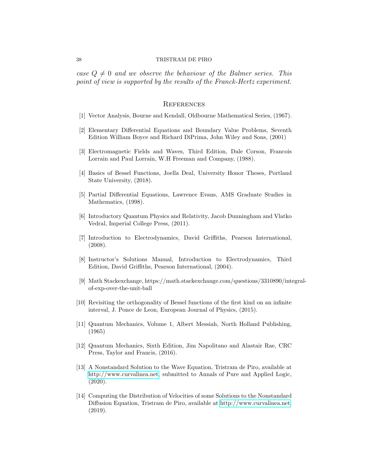case  $Q \neq 0$  and we observe the behaviour of the Balmer series. This point of view is supported by the results of the Franck-Hertz experiment.

#### **REFERENCES**

- <span id="page-37-10"></span><span id="page-37-5"></span>[1] Vector Analysis, Bourne and Kendall, Oldbourne Mathematical Series, (1967).
- [2] Elementary Differential Equations and Boundary Value Problems, Seventh Edition William Boyce and Richard DiPrima, John Wiley and Sons, (2001)
- <span id="page-37-8"></span>[3] Electromagnetic Fields and Waves, Third Edition, Dale Corson, Francois Lorrain and Paul Lorrain, W.H Freeman and Company, (1988).
- <span id="page-37-12"></span>[4] Basics of Bessel Functions, Joella Deal, University Honor Theses, Portland State University, (2018).
- <span id="page-37-7"></span>[5] Partial Differential Equations, Lawrence Evans, AMS Graduate Studies in Mathematics, (1998).
- <span id="page-37-4"></span>[6] Introductory Quantum Physics and Relativity, Jacob Dunningham and Vlatko Vedral, Imperial College Press, (2011).
- <span id="page-37-0"></span>[7] Introduction to Electrodynamics, David Griffiths, Pearson International, (2008).
- <span id="page-37-6"></span>[8] Instructor's Solutions Manual, Introduction to Electrodynamics, Third Edition, David Griffiths, Pearson International, (2004).
- <span id="page-37-13"></span>[9] Math Stackexchange, https://math.stackexchange.com/questions/3310890/integralof-exp-over-the-unit-ball
- <span id="page-37-11"></span>[10] Revisiting the orthogonality of Bessel functions of the first kind on an infinite interval, J. Ponce de Leon, European Journal of Physics, (2015).
- <span id="page-37-9"></span>[11] Quantum Mechanics, Volume 1, Albert Messiah, North Holland Publishing, (1965)
- <span id="page-37-1"></span>[12] Quantum Mechanics, Sixth Edition, Jim Napolitano and Alastair Rae, CRC Press, Taylor and Francis, (2016).
- <span id="page-37-2"></span>[13] A Nonstandard Solution to the Wave Equation, Tristram de Piro, available at [http://www.curvalinea.net,](http://www.curvalinea.net) submitted to Annals of Pure and Applied Logic, (2020).
- <span id="page-37-3"></span>[14] Computing the Distribution of Velocities of some Solutions to the Nonstandard Diffusion Equation, Tristram de Piro, available at [http://www.curvalinea.net,](http://www.curvalinea.net) (2019).